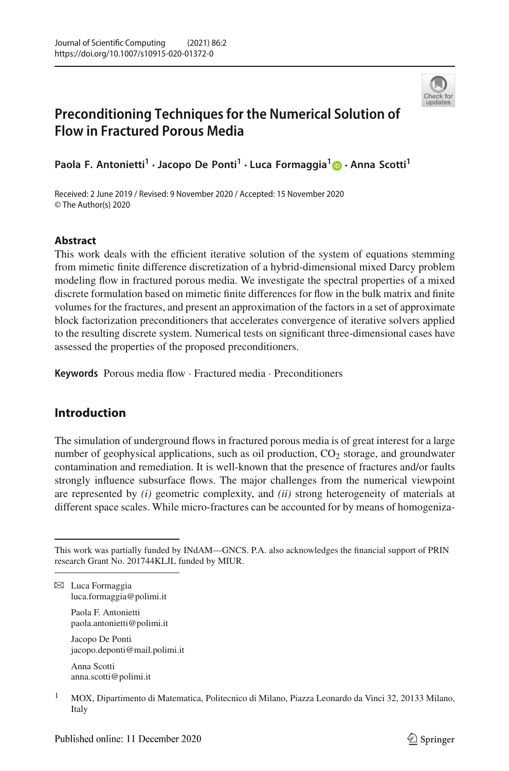

# **Preconditioning Techniques for the Numerical Solution of Flow in Fractured Porous Media**

**Paola F. Antonietti1 · Jacopo De Ponti<sup>1</sup> · Luca Formaggia[1](http://orcid.org/0000-0003-2628-1683) · Anna Scotti1**

Received: 2 June 2019 / Revised: 9 November 2020 / Accepted: 15 November 2020 © The Author(s) 2020

## **Abstract**

This work deals with the efficient iterative solution of the system of equations stemming from mimetic finite difference discretization of a hybrid-dimensional mixed Darcy problem modeling flow in fractured porous media. We investigate the spectral properties of a mixed discrete formulation based on mimetic finite differences for flow in the bulk matrix and finite volumes for the fractures, and present an approximation of the factors in a set of approximate block factorization preconditioners that accelerates convergence of iterative solvers applied to the resulting discrete system. Numerical tests on significant three-dimensional cases have assessed the properties of the proposed preconditioners.

**Keywords** Porous media flow · Fractured media · Preconditioners

# **Introduction**

The simulation of underground flows in fractured porous media is of great interest for a large number of geophysical applications, such as oil production, CO<sub>2</sub> storage, and groundwater contamination and remediation. It is well-known that the presence of fractures and/or faults strongly influence subsurface flows. The major challenges from the numerical viewpoint are represented by *(i)* geometric complexity, and *(ii)* strong heterogeneity of materials at different space scales. While micro-fractures can be accounted for by means of homogeniza-

Paola F. Antonietti paola.antonietti@polimi.it

Jacopo De Ponti jacopo.deponti@mail.polimi.it

Anna Scotti anna.scotti@polimi.it

This work was partially funded by INdAM—GNCS. P.A. also acknowledges the financial support of PRIN research Grant No. 201744KLJL funded by MIUR.

 $\boxtimes$  Luca Formaggia luca.formaggia@polimi.it

<sup>&</sup>lt;sup>1</sup> MOX, Dipartimento di Matematica, Politecnico di Milano, Piazza Leonardo da Vinci 32, 20133 Milano, Italy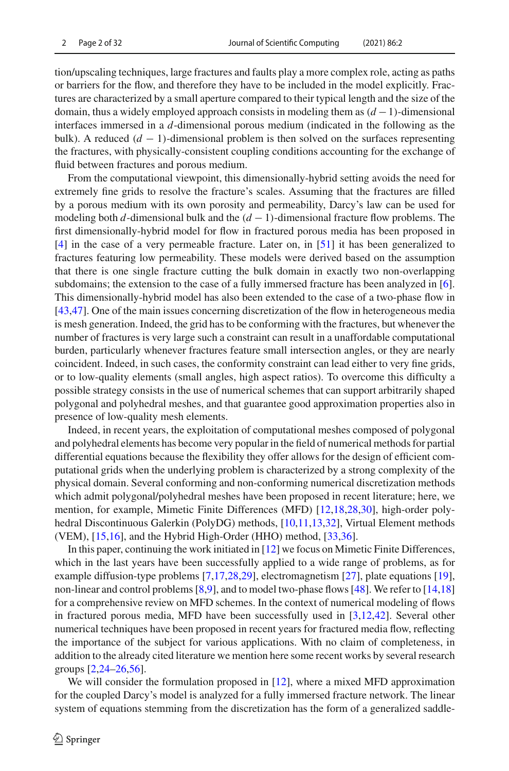tion/upscaling techniques, large fractures and faults play a more complex role, acting as paths or barriers for the flow, and therefore they have to be included in the model explicitly. Fractures are characterized by a small aperture compared to their typical length and the size of the domain, thus a widely employed approach consists in modeling them as  $(d-1)$ -dimensional interfaces immersed in a *d*-dimensional porous medium (indicated in the following as the bulk). A reduced  $(d - 1)$ -dimensional problem is then solved on the surfaces representing the fractures, with physically-consistent coupling conditions accounting for the exchange of fluid between fractures and porous medium.

From the computational viewpoint, this dimensionally-hybrid setting avoids the need for extremely fine grids to resolve the fracture's scales. Assuming that the fractures are filled by a porous medium with its own porosity and permeability, Darcy's law can be used for modeling both *d*-dimensional bulk and the (*d* − 1)-dimensional fracture flow problems. The first dimensionally-hybrid model for flow in fractured porous media has been proposed in [\[4](#page-29-0)] in the case of a very permeable fracture. Later on, in [\[51](#page-31-0)] it has been generalized to fractures featuring low permeability. These models were derived based on the assumption that there is one single fracture cutting the bulk domain in exactly two non-overlapping subdomains; the extension to the case of a fully immersed fracture has been analyzed in [\[6\]](#page-29-1). This dimensionally-hybrid model has also been extended to the case of a two-phase flow in [\[43](#page-30-0)[,47\]](#page-31-1). One of the main issues concerning discretization of the flow in heterogeneous media is mesh generation. Indeed, the grid has to be conforming with the fractures, but whenever the number of fractures is very large such a constraint can result in a unaffordable computational burden, particularly whenever fractures feature small intersection angles, or they are nearly coincident. Indeed, in such cases, the conformity constraint can lead either to very fine grids, or to low-quality elements (small angles, high aspect ratios). To overcome this difficulty a possible strategy consists in the use of numerical schemes that can support arbitrarily shaped polygonal and polyhedral meshes, and that guarantee good approximation properties also in presence of low-quality mesh elements.

Indeed, in recent years, the exploitation of computational meshes composed of polygonal and polyhedral elements has become very popular in the field of numerical methods for partial differential equations because the flexibility they offer allows for the design of efficient computational grids when the underlying problem is characterized by a strong complexity of the physical domain. Several conforming and non-conforming numerical discretization methods which admit polygonal/polyhedral meshes have been proposed in recent literature; here, we mention, for example, Mimetic Finite Differences (MFD) [\[12](#page-29-2)[,18](#page-30-1)[,28](#page-30-2)[,30](#page-30-3)], high-order polyhedral Discontinuous Galerkin (PolyDG) methods, [\[10](#page-29-3)[,11](#page-29-4)[,13](#page-29-5)[,32](#page-30-4)], Virtual Element methods (VEM), [\[15](#page-29-6)[,16\]](#page-29-7), and the Hybrid High-Order (HHO) method, [\[33](#page-30-5)[,36](#page-30-6)].

In this paper, continuing the work initiated in [\[12\]](#page-29-2) we focus on Mimetic Finite Differences, which in the last years have been successfully applied to a wide range of problems, as for example diffusion-type problems [\[7](#page-29-8)[,17](#page-29-9)[,28](#page-30-2)[,29\]](#page-30-7), electromagnetism [\[27\]](#page-30-8), plate equations [\[19\]](#page-30-9), non-linear and control problems [\[8](#page-29-10)[,9\]](#page-29-11), and to model two-phase flows [\[48\]](#page-31-2). We refer to [\[14](#page-29-12)[,18\]](#page-30-1) for a comprehensive review on MFD schemes. In the context of numerical modeling of flows in fractured porous media, MFD have been successfully used in [\[3](#page-29-13)[,12](#page-29-2)[,42](#page-30-10)]. Several other numerical techniques have been proposed in recent years for fractured media flow, reflecting the importance of the subject for various applications. With no claim of completeness, in addition to the already cited literature we mention here some recent works by several research groups [\[2](#page-29-14)[,24](#page-30-11)[–26](#page-30-12)[,56](#page-31-3)].

We will consider the formulation proposed in [\[12](#page-29-2)], where a mixed MFD approximation for the coupled Darcy's model is analyzed for a fully immersed fracture network. The linear system of equations stemming from the discretization has the form of a generalized saddle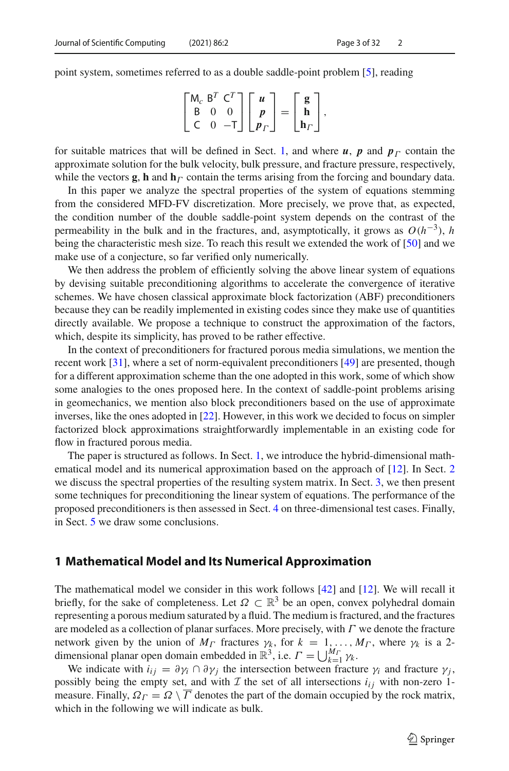point system, sometimes referred to as a double saddle-point problem [\[5\]](#page-29-15), reading

$$
\begin{bmatrix} M_c & B^T & C^T \\ B & 0 & 0 \\ C & 0 & -T \end{bmatrix} \begin{bmatrix} u \\ p \\ p_T \end{bmatrix} = \begin{bmatrix} g \\ h \\ h \end{bmatrix},
$$

for suitable matrices that will be defined in Sect. [1,](#page-2-0) and where  $u$ ,  $p$  and  $p<sub>l</sub>$  contain the approximate solution for the bulk velocity, bulk pressure, and fracture pressure, respectively, while the vectors **g**, **h** and  $\mathbf{h}_\Gamma$  contain the terms arising from the forcing and boundary data.

In this paper we analyze the spectral properties of the system of equations stemming from the considered MFD-FV discretization. More precisely, we prove that, as expected, the condition number of the double saddle-point system depends on the contrast of the permeability in the bulk and in the fractures, and, asymptotically, it grows as  $O(h^{-3})$ , *h* being the characteristic mesh size. To reach this result we extended the work of [\[50\]](#page-31-4) and we make use of a conjecture, so far verified only numerically.

We then address the problem of efficiently solving the above linear system of equations by devising suitable preconditioning algorithms to accelerate the convergence of iterative schemes. We have chosen classical approximate block factorization (ABF) preconditioners because they can be readily implemented in existing codes since they make use of quantities directly available. We propose a technique to construct the approximation of the factors, which, despite its simplicity, has proved to be rather effective.

In the context of preconditioners for fractured porous media simulations, we mention the recent work [\[31\]](#page-30-13), where a set of norm-equivalent preconditioners [\[49\]](#page-31-5) are presented, though for a different approximation scheme than the one adopted in this work, some of which show some analogies to the ones proposed here. In the context of saddle-point problems arising in geomechanics, we mention also block preconditioners based on the use of approximate inverses, like the ones adopted in [\[22\]](#page-30-14). However, in this work we decided to focus on simpler factorized block approximations straightforwardly implementable in an existing code for flow in fractured porous media.

The paper is structured as follows. In Sect. [1,](#page-2-0) we introduce the hybrid-dimensional mathematical model and its numerical approximation based on the approach of [\[12\]](#page-29-2). In Sect. [2](#page-10-0) we discuss the spectral properties of the resulting system matrix. In Sect. [3,](#page-16-0) we then present some techniques for preconditioning the linear system of equations. The performance of the proposed preconditioners is then assessed in Sect. [4](#page-18-0) on three-dimensional test cases. Finally, in Sect. [5](#page-25-0) we draw some conclusions.

### <span id="page-2-0"></span>**1 Mathematical Model and Its Numerical Approximation**

The mathematical model we consider in this work follows [\[42](#page-30-10)] and [\[12](#page-29-2)]. We will recall it briefly, for the sake of completeness. Let  $\Omega \subset \mathbb{R}^3$  be an open, convex polyhedral domain representing a porous medium saturated by a fluid. The medium is fractured, and the fractures are modeled as a collection of planar surfaces. More precisely, with  $\Gamma$  we denote the fracture network given by the union of  $M_{\Gamma}$  fractures  $\gamma_k$ , for  $k = 1, \ldots, M_{\Gamma}$ , where  $\gamma_k$  is a 2dimensional planar open domain embedded in  $\mathbb{R}^3$ , i.e.  $\Gamma = \bigcup_{k=1}^{M_\Gamma} \gamma_k$ .

We indicate with  $i_{ij} = \partial \gamma_i \cap \partial \gamma_j$  the intersection between fracture  $\gamma_i$  and fracture  $\gamma_j$ , possibly being the empty set, and with  $I$  the set of all intersections  $i_{ij}$  with non-zero 1measure. Finally,  $\Omega_{\Gamma} = \Omega \setminus \Gamma$  denotes the part of the domain occupied by the rock matrix, which in the following we will indicate as bulk.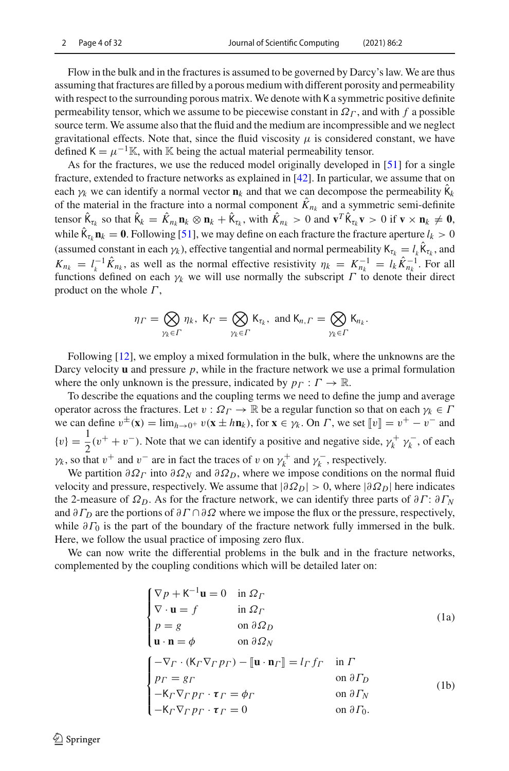Flow in the bulk and in the fractures is assumed to be governed by Darcy's law. We are thus assuming that fractures are filled by a porous medium with different porosity and permeability with respect to the surrounding porous matrix. We denote with K a symmetric positive definite permeability tensor, which we assume to be piecewise constant in  $\Omega_r$ , and with f a possible source term. We assume also that the fluid and the medium are incompressible and we neglect gravitational effects. Note that, since the fluid viscosity  $\mu$  is considered constant, we have defined K =  $\mu^{-1}$ K, with K being the actual material permeability tensor.

As for the fractures, we use the reduced model originally developed in [\[51\]](#page-31-0) for a single fracture, extended to fracture networks as explained in [\[42\]](#page-30-10). In particular, we assume that on each  $\gamma_k$  we can identify a normal vector  $\mathbf{n}_k$  and that we can decompose the permeability  $\hat{\mathbf{k}}_k$ of the material in the fracture into a normal component  $\hat{K}_{n_k}$  and a symmetric semi-definite tensor  $\hat{\mathbf{K}}_{\tau_k}$  so that  $\hat{\mathbf{K}}_k = \hat{\mathbf{K}}_{n_k} \mathbf{n}_k \otimes \mathbf{n}_k + \hat{\mathbf{K}}_{\tau_k}$ , with  $\hat{\mathbf{K}}_{n_k} > 0$  and  $\mathbf{v}^T \hat{\mathbf{K}}_{\tau_k} \mathbf{v} > 0$  if  $\mathbf{v} \times \mathbf{n}_k \neq \mathbf{0}$ , while  $\hat{\mathbf{K}}_{\tau_k} \mathbf{n}_k = \mathbf{0}$ . Following [\[51](#page-31-0)], we may define on each fracture the fracture aperture  $l_k > 0$ (assumed constant in each  $\gamma_k$ ), effective tangential and normal permeability  $K_{\tau_k} = l_k \hat{K}_{\tau_k}$ , and  $K_{n_k} = l_k^{-1} \hat{K}_{n_k}$ , as well as the normal effective resistivity  $\eta_k = K_{n_k}^{-1} = l_k \hat{K}_{n_k}^{-1}$ . For all functions defined on each  $\gamma_k$  we will use normally the subscript  $\Gamma$  to denote their direct product on the whole  $\Gamma$ ,

$$
\eta_{\Gamma} = \bigotimes_{\gamma_k \in \Gamma} \eta_k, \ K_{\Gamma} = \bigotimes_{\gamma_k \in \Gamma} \mathsf{K}_{\tau_k}, \text{ and } \mathsf{K}_{n,\Gamma} = \bigotimes_{\gamma_k \in \Gamma} \mathsf{K}_{n_k}.
$$

Following [\[12\]](#page-29-2), we employ a mixed formulation in the bulk, where the unknowns are the Darcy velocity **u** and pressure  $p$ , while in the fracture network we use a primal formulation where the only unknown is the pressure, indicated by  $p_{\Gamma}: \Gamma \to \mathbb{R}$ .

To describe the equations and the coupling terms we need to define the jump and average operator across the fractures. Let  $v : \Omega_{\Gamma} \to \mathbb{R}$  be a regular function so that on each  $\gamma_k \in \Gamma$ we can define  $v^{\pm}(\mathbf{x}) = \lim_{h \to 0^+} v(\mathbf{x} \pm h \mathbf{n}_k)$ , for  $\mathbf{x} \in \gamma_k$ . On  $\Gamma$ , we set  $[\![v]\!] = v^+ - v^-$  and  ${v} = \frac{1}{2}(v^+ + v^-)$ . Note that we can identify a positive and negative side,  $\gamma_k^+$   $\gamma_k^-$ , of each 2  $\gamma_k$ , so that  $v^+$  and  $v^-$  are in fact the traces of v on  $\gamma_k^+$  and  $\gamma_k^-$ , respectively.

We partition  $\partial \Omega_{\Gamma}$  into  $\partial \Omega_{N}$  and  $\partial \Omega_{D}$ , where we impose conditions on the normal fluid velocity and pressure, respectively. We assume that  $|\partial \Omega_D| > 0$ , where  $|\partial \Omega_D|$  here indicates the 2-measure of  $\Omega_D$ . As for the fracture network, we can identify three parts of  $\partial \Gamma$ :  $\partial \Gamma_N$ and  $\partial \Gamma_D$  are the portions of  $\partial \Gamma \cap \partial \Omega$  where we impose the flux or the pressure, respectively, while  $\partial \Gamma_0$  is the part of the boundary of the fracture network fully immersed in the bulk. Here, we follow the usual practice of imposing zero flux.

We can now write the differential problems in the bulk and in the fracture networks, complemented by the coupling conditions which will be detailed later on:

<span id="page-3-1"></span><span id="page-3-0"></span>
$$
\begin{cases}\n\nabla p + \mathsf{K}^{-1}\mathbf{u} = 0 & \text{in } \Omega_{\Gamma} \\
\nabla \cdot \mathbf{u} = f & \text{in } \Omega_{\Gamma} \\
p = g & \text{on } \partial \Omega_{D} \\
\mathbf{u} \cdot \mathbf{n} = \phi & \text{on } \partial \Omega_{N}\n\end{cases}
$$
\n(1a)  
\n
$$
\begin{cases}\n-\nabla_{\Gamma} \cdot (\mathsf{K}_{\Gamma} \nabla_{\Gamma} p_{\Gamma}) - [\![ \mathbf{u} \cdot \mathbf{n}_{\Gamma} ]\!] = l_{\Gamma} f_{\Gamma} & \text{in } \Gamma \\
p_{\Gamma} = g_{\Gamma} & \text{on } \partial \Gamma_{D} \\
-\mathsf{K}_{\Gamma} \nabla_{\Gamma} p_{\Gamma} \cdot \mathbf{r}_{\Gamma} = \phi_{\Gamma} & \text{on } \partial \Gamma_{N} \\
-\mathsf{K}_{\Gamma} \nabla_{\Gamma} p_{\Gamma} \cdot \mathbf{r}_{\Gamma} = 0 & \text{on } \partial \Gamma_{0}.\n\end{cases}
$$
\n(1b)

 $\circledcirc$  Springer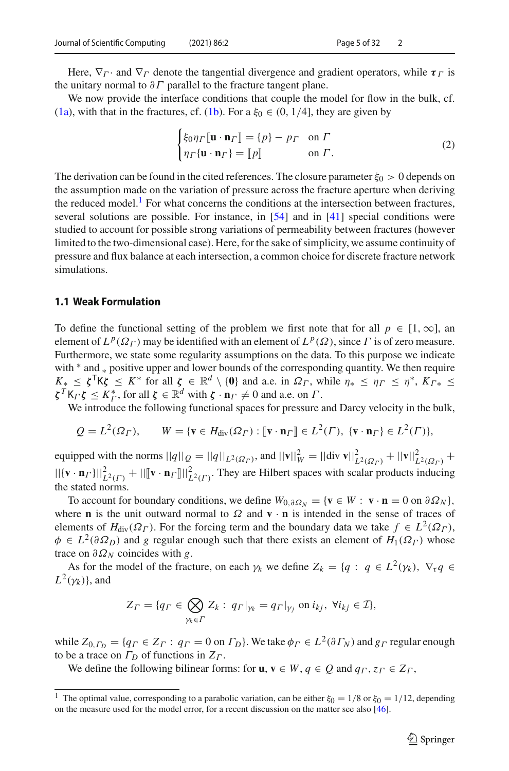Here,  $\nabla_{\Gamma}$  and  $\nabla_{\Gamma}$  denote the tangential divergence and gradient operators, while  $\tau_{\Gamma}$  is the unitary normal to  $\partial \Gamma$  parallel to the fracture tangent plane.

We now provide the interface conditions that couple the model for flow in the bulk, cf. [\(1a\)](#page-3-0), with that in the fractures, cf. [\(1b\)](#page-3-0). For a  $\xi_0 \in (0, 1/4]$ , they are given by

<span id="page-4-1"></span>
$$
\begin{cases} \xi_0 \eta_{\Gamma} [\![ \mathbf{u} \cdot \mathbf{n}_{\Gamma} ]\!] = \{p\} - p_{\Gamma} & \text{on } \Gamma \\ \eta_{\Gamma} \{\mathbf{u} \cdot \mathbf{n}_{\Gamma}\} = [\![ p ]\!] & \text{on } \Gamma. \end{cases} \tag{2}
$$

The derivation can be found in the cited references. The closure parameter  $\xi_0 > 0$  depends on the assumption made on the variation of pressure across the fracture aperture when deriving the reduced model. $<sup>1</sup>$  $<sup>1</sup>$  $<sup>1</sup>$  For what concerns the conditions at the intersection between fractures,</sup> several solutions are possible. For instance, in [\[54\]](#page-31-6) and in [\[41](#page-30-15)] special conditions were studied to account for possible strong variations of permeability between fractures (however limited to the two-dimensional case). Here, for the sake of simplicity, we assume continuity of pressure and flux balance at each intersection, a common choice for discrete fracture network simulations.

### **1.1 Weak Formulation**

To define the functional setting of the problem we first note that for all  $p \in [1,\infty]$ , an element of  $L^p(\Omega_\Gamma)$  may be identified with an element of  $L^p(\Omega)$ , since  $\Gamma$  is of zero measure. Furthermore, we state some regularity assumptions on the data. To this purpose we indicate with <sup>\*</sup> and <sub>\*</sub> positive upper and lower bounds of the corresponding quantity. We then require  $K_* \leq \zeta^{\mathsf{T}} K \zeta \leq K^*$  for all  $\zeta \in \mathbb{R}^d \setminus \{0\}$  and a.e. in  $\Omega_r$ , while  $\eta_* \leq \eta_r \leq \eta^*, K_{\Gamma^*} \leq$  $\boldsymbol{\zeta}^T \mathsf{K}_{\Gamma} \boldsymbol{\zeta} \leq K_{\Gamma}^*$ , for all  $\boldsymbol{\zeta} \in \mathbb{R}^d$  with  $\boldsymbol{\zeta} \cdot \mathbf{n}_{\Gamma} \neq 0$  and a.e. on  $\Gamma$ .

We introduce the following functional spaces for pressure and Darcy velocity in the bulk,

$$
Q = L^2(\Omega_\Gamma), \qquad W = \{ \mathbf{v} \in H_{\text{div}}(\Omega_\Gamma) : [\![\mathbf{v} \cdot \mathbf{n}_\Gamma]\!] \in L^2(\Gamma), \ \{\mathbf{v} \cdot \mathbf{n}_\Gamma\} \in L^2(\Gamma) \},
$$

equipped with the norms  $||q||_Q = ||q||_{L^2(\Omega_r)}$ , and  $||\mathbf{v}||_W^2 = ||\text{div } \mathbf{v}||_{L^2(\Omega_r)}^2 + ||\mathbf{v}||_{L^2(\Omega_r)}^2 +$  $||{\bf{v} \cdot n}_{\Gamma}||_{L^2(\Gamma)}^2 + ||{\bf{v} \cdot n}_{\Gamma}||_{L^2(\Gamma)}^2$ . They are Hilbert spaces with scalar products inducing the stated norms.

To account for boundary conditions, we define  $W_{0,\partial\Omega_N} = \{ \mathbf{v} \in W : \mathbf{v} \cdot \mathbf{n} = 0 \text{ on } \partial\Omega_N \},\$ where **n** is the unit outward normal to  $\Omega$  and **v**  $\cdot$  **n** is intended in the sense of traces of elements of  $H_{div}(\Omega_{\Gamma})$ . For the forcing term and the boundary data we take  $f \in L^2(\Omega_{\Gamma})$ ,  $\phi \in L^2(\partial \Omega_D)$  and *g* regular enough such that there exists an element of  $H_1(\Omega_T)$  whose trace on ∂Ω*<sup>N</sup>* coincides with *g*.

As for the model of the fracture, on each  $\gamma_k$  we define  $Z_k = \{q : q \in L^2(\gamma_k), \nabla_{\tau} q \in L^2(\gamma_k)\}$  $L^2(\gamma_k)$ }, and

$$
Z_{\Gamma} = \{q_{\Gamma} \in \bigotimes_{\gamma_k \in \Gamma} Z_k : q_{\Gamma}|_{\gamma_k} = q_{\Gamma}|_{\gamma_j} \text{ on } i_{kj}, \ \forall i_{kj} \in \mathcal{I}\},\
$$

while  $Z_{0,\Gamma_D} = \{q_\Gamma \in Z_\Gamma : q_\Gamma = 0 \text{ on } \Gamma_D\}$ . We take  $\phi_\Gamma \in L^2(\partial \Gamma_N)$  and  $g_\Gamma$  regular enough to be a trace on  $\Gamma_D$  of functions in  $Z_{\Gamma}$ .

We define the following bilinear forms: for **u**,  $\mathbf{v} \in W$ ,  $q \in Q$  and  $q\Gamma$ ,  $z\Gamma \in Z\Gamma$ ,

<span id="page-4-0"></span><sup>&</sup>lt;sup>1</sup> The optimal value, corresponding to a parabolic variation, can be either  $\xi_0 = 1/8$  or  $\xi_0 = 1/12$ , depending on the measure used for the model error, for a recent discussion on the matter see also [\[46](#page-31-7)].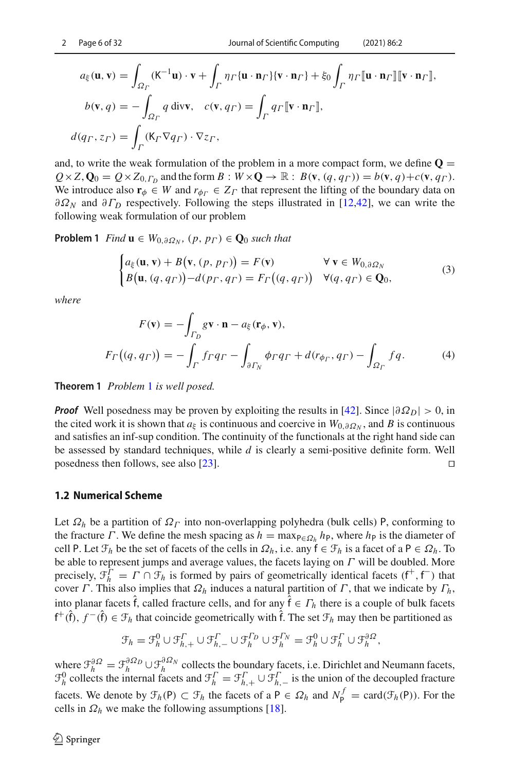$$
a_{\xi}(\mathbf{u}, \mathbf{v}) = \int_{\Omega_{\Gamma}} (\mathbf{K}^{-1} \mathbf{u}) \cdot \mathbf{v} + \int_{\Gamma} \eta_{\Gamma} \{\mathbf{u} \cdot \mathbf{n}_{\Gamma}\} \{\mathbf{v} \cdot \mathbf{n}_{\Gamma}\} + \xi_{0} \int_{\Gamma} \eta_{\Gamma} [\![\mathbf{u} \cdot \mathbf{n}_{\Gamma}]\!] [\![\mathbf{v} \cdot \mathbf{n}_{\Gamma}]\!],
$$
  
\n
$$
b(\mathbf{v}, q) = -\int_{\Omega_{\Gamma}} q \operatorname{div} \mathbf{v}, \quad c(\mathbf{v}, q_{\Gamma}) = \int_{\Gamma} q_{\Gamma} [\![\mathbf{v} \cdot \mathbf{n}_{\Gamma}]\!],
$$
  
\n
$$
d(q_{\Gamma}, z_{\Gamma}) = \int_{\Gamma} (\mathbf{K}_{\Gamma} \nabla q_{\Gamma}) \cdot \nabla z_{\Gamma},
$$

and, to write the weak formulation of the problem in a more compact form, we define  $\mathbf{Q} =$  $Q \times Z$ ,  $Q_0 = Q \times Z_{0,\Gamma_D}$  and the form  $B : W \times Q \to \mathbb{R} : B(\mathbf{v}, (q, q_{\Gamma})) = b(\mathbf{v}, q) + c(\mathbf{v}, q_{\Gamma}).$ We introduce also  $\mathbf{r}_{\phi} \in W$  and  $r_{\phi} \in Z_{\Gamma}$  that represent the lifting of the boundary data on  $\partial \Omega_N$  and  $\partial \Gamma_D$  respectively. Following the steps illustrated in [\[12](#page-29-2)[,42](#page-30-10)], we can write the following weak formulation of our problem

**Problem 1** *Find*  $\mathbf{u} \in W_{0,\partial\Omega_N}$ ,  $(p, p) \in \mathbf{Q}_0$  *such that* 

<span id="page-5-0"></span>
$$
\begin{cases} a_{\xi}(\mathbf{u}, \mathbf{v}) + B(\mathbf{v}, (p, p) = F(\mathbf{v}) & \forall \mathbf{v} \in W_{0, \partial \Omega_N} \\ B(\mathbf{u}, (q, q) = -d(p) - F(\mathbf{v})) & \forall (q, q) = \mathbf{P}_0, \end{cases}
$$
(3)

*where*

$$
F(\mathbf{v}) = -\int_{\Gamma_D} g\mathbf{v} \cdot \mathbf{n} - a_{\xi}(\mathbf{r}_{\phi}, \mathbf{v}),
$$
  

$$
F_{\Gamma}((q, q_{\Gamma})) = -\int_{\Gamma} f_{\Gamma} q_{\Gamma} - \int_{\partial \Gamma_N} \phi_{\Gamma} q_{\Gamma} + d(r_{\phi_{\Gamma}}, q_{\Gamma}) - \int_{\Omega_{\Gamma}} f q.
$$
 (4)

**Theorem 1** *Problem* [1](#page-5-0) *is well posed.*

*Proof* Well posedness may be proven by exploiting the results in [\[42](#page-30-10)]. Since  $|\partial \Omega_D| > 0$ , in the cited work it is shown that  $a_{\xi}$  is continuous and coercive in  $W_{0,\partial\Omega_{N}}$ , and *B* is continuous and satisfies an inf-sup condition. The continuity of the functionals at the right hand side can be assessed by standard techniques, while *d* is clearly a semi-positive definite form. Well posedness then follows, see also [\[23](#page-30-16)].  $\square$ 

### **1.2 Numerical Scheme**

Let  $\Omega_h$  be a partition of  $\Omega_r$  into non-overlapping polyhedra (bulk cells) P, conforming to the fracture Γ. We define the mesh spacing as  $h = \max_{P \in \Omega_h} h_P$ , where  $h_P$  is the diameter of cell P. Let  $\mathcal{F}_h$  be the set of facets of the cells in  $\Omega_h$ , i.e. any  $f \in \mathcal{F}_h$  is a facet of a P  $\in \Omega_h$ . To be able to represent jumps and average values, the facets laying on  $\Gamma$  will be doubled. More precisely,  $\mathcal{F}_h^{\Gamma} = \Gamma \cap \mathcal{F}_h$  is formed by pairs of geometrically identical facets ( $f^+$ ,  $f^-$ ) that cover  $\Gamma$ . This also implies that  $\Omega_h$  induces a natural partition of  $\Gamma$ , that we indicate by  $\Gamma_h$ , into planar facets f, called fracture cells, and for any  $f \in \Gamma_h$  there is a couple of bulk facets  $f^+(f)$ ,  $f^-(f) \in \mathcal{F}_h$  that coincide geometrically with  $f$ . The set  $\mathcal{F}_h$  may then be partitioned as

<span id="page-5-1"></span>
$$
\mathcal{F}_h = \mathcal{F}_h^0 \cup \mathcal{F}_{h,+}^{\Gamma} \cup \mathcal{F}_{h,-}^{\Gamma} \cup \mathcal{F}_h^{\Gamma_D} \cup \mathcal{F}_h^{\Gamma_N} = \mathcal{F}_h^0 \cup \mathcal{F}_h^{\Gamma} \cup \mathcal{F}_h^{\partial \Omega},
$$

where  $\mathcal{F}_h^{\partial \Omega} = \mathcal{F}_h^{\partial \Omega_D} \cup \mathcal{F}_h^{\partial \Omega_N}$  collects the boundary facets, i.e. Dirichlet and Neumann facets,  $\mathcal{F}_h^0$  collects the internal facets and  $\mathcal{F}_h^{\Gamma} = \mathcal{F}_{h,+}^{\Gamma} \cup \mathcal{F}_{h,-}^{\Gamma}$  is the union of the decoupled fracture facets. We denote by  $\mathcal{F}_h(\mathsf{P}) \subset \mathcal{F}_h$  the facets of a  $\mathsf{P} \in \Omega_h$  and  $N_{\mathsf{P}}^f = \text{card}(\mathcal{F}_h(\mathsf{P}))$ . For the cells in  $\Omega_h$  we make the following assumptions [\[18](#page-30-1)].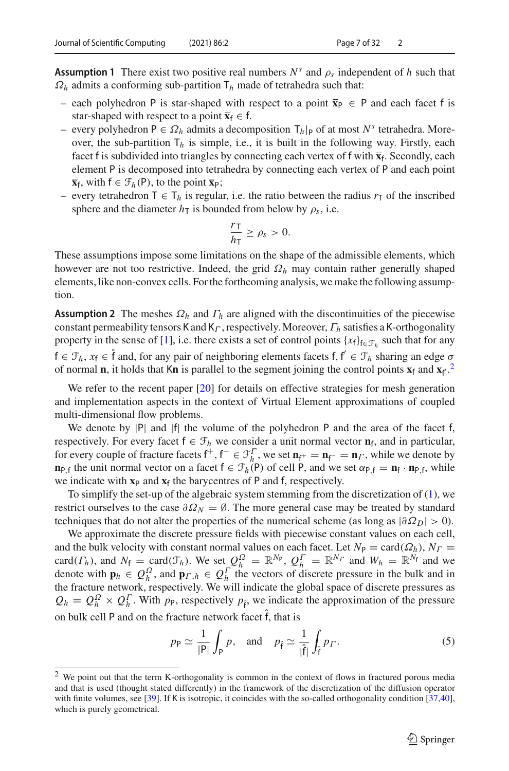**Assumption 1** There exist two positive real numbers  $N^s$  and  $\rho_s$  independent of *h* such that  $\Omega_h$  admits a conforming sub-partition  $\mathsf{T}_h$  made of tetrahedra such that:

- each polyhedron P is star-shaped with respect to a point  $\bar{x}_P \in P$  and each facet f is star-shaped with respect to a point  $\bar{\mathbf{x}}_f \in \mathbf{f}$ .
- $−$  every polyhedron  $P ∈ Ω<sub>h</sub>$  admits a decomposition  $T<sub>h</sub>|<sub>P</sub>$  of at most *N<sup>s</sup>* tetrahedra. Moreover, the sub-partition  $T_h$  is simple, i.e., it is built in the following way. Firstly, each facet f is subdivided into triangles by connecting each vertex of f with  $\bar{x}_f$ . Secondly, each element P is decomposed into tetrahedra by connecting each vertex of P and each point  $\overline{\mathbf{x}}_f$ , with  $f \in \mathcal{F}_h(P)$ , to the point  $\overline{\mathbf{x}}_P$ ;
- every tetrahedron  $\mathsf{T}$  ∈  $\mathsf{T}_h$  is regular, i.e. the ratio between the radius  $r_{\mathsf{T}}$  of the inscribed sphere and the diameter  $h<sub>T</sub>$  is bounded from below by  $\rho<sub>s</sub>$ , i.e.

$$
\frac{r_{\mathsf{T}}}{h_{\mathsf{T}}} \ge \rho_s > 0.
$$

These assumptions impose some limitations on the shape of the admissible elements, which however are not too restrictive. Indeed, the grid  $\Omega_h$  may contain rather generally shaped elements, like non-convex cells. For the forthcoming analysis, we make the following assumption.

**Assumption 2** The meshes  $\Omega_h$  and  $\Gamma_h$  are aligned with the discontinuities of the piecewise constant permeability tensors K and K<sub>Γ</sub>, respectively. Moreover,  $\Gamma_h$  satisfies a K-orthogonality property in the sense of [\[1](#page-29-16)], i.e. there exists a set of control points  $\{x_f\}_{f \in \mathcal{F}_h}$  such that for any  $f \in \mathcal{F}_h$ ,  $x_f \in \mathring{f}$  and, for any pair of neighboring elements facets  $f, f' \in \mathcal{F}_h$  sharing an edge  $\sigma$ of normal **n**, it holds that K**n** is parallel to the segment joining the control points  $\mathbf{x}_f$  and  $\mathbf{x}_{f'}$ .<sup>[2](#page-6-0)</sup>

We refer to the recent paper [\[20](#page-30-17)] for details on effective strategies for mesh generation and implementation aspects in the context of Virtual Element approximations of coupled multi-dimensional flow problems.

We denote by  $|P|$  and  $|f|$  the volume of the polyhedron P and the area of the facet f, respectively. For every facet  $f \in \mathcal{F}_h$  we consider a unit normal vector  $\mathbf{n}_f$ , and in particular, for every couple of fracture facets  $f^+, f^- \in \mathcal{F}_h^{\Gamma}$ , we set  $\mathbf{n}_{f^+} = \mathbf{n}_{f^-} = \mathbf{n}_{\Gamma}$ , while we denote by  $\mathbf{n}_{\text{P}_f}$  the unit normal vector on a facet  $f \in \mathcal{F}_h(\text{P})$  of cell P, and we set  $\alpha_{\text{P}_f} = \mathbf{n}_f \cdot \mathbf{n}_{\text{P}_f}$ , while we indicate with **x**<sub>P</sub> and **x**<sub>f</sub> the barycentres of P and f, respectively.

To simplify the set-up of the algebraic system stemming from the discretization of [\(1\)](#page-3-1), we restrict ourselves to the case  $\partial \Omega_N = \emptyset$ . The more general case may be treated by standard techniques that do not alter the properties of the numerical scheme (as long as  $|\partial \Omega_D| > 0$ ).

We approximate the discrete pressure fields with piecewise constant values on each cell, and the bulk velocity with constant normal values on each facet. Let  $N_P = \text{card}(\Omega_h)$ ,  $N_\Gamma =$ card( $\Gamma_h$ ), and  $N_f = \text{card}(\mathcal{F}_h)$ . We set  $Q_h^{\Omega} = \mathbb{R}^{N_p}$ ,  $Q_h^{\Gamma} = \mathbb{R}^{N_\Gamma}$  and  $W_h = \mathbb{R}^{N_f}$  and we denote with  $\mathbf{p}_h \in Q_h^{\Omega}$ , and  $\mathbf{p}_{\Gamma,h} \in Q_h^{\Gamma}$  the vectors of discrete pressure in the bulk and in the fracture network, respectively. We will indicate the global space of discrete pressures as  $Q_h = Q_h^{\Omega} \times Q_h^{\Gamma}$ . With *p*<sub>P</sub>, respectively  $p_{\hat{f}}$ , we indicate the approximation of the pressure on bulk cell P and on the fracture network facet f, that is

$$
p_{\mathsf{P}} \simeq \frac{1}{|\mathsf{P}|} \int_{\mathsf{P}} p, \quad \text{and} \quad p_{\hat{\mathsf{f}}} \simeq \frac{1}{|\hat{\mathsf{f}}|} \int_{\hat{\mathsf{f}}} p_{\Gamma}. \tag{5}
$$

<span id="page-6-0"></span><sup>&</sup>lt;sup>2</sup> We point out that the term K-orthogonality is common in the context of flows in fractured porous media and that is used (thought stated differently) in the framework of the discretization of the diffusion operator with finite volumes, see [\[39](#page-30-18)]. If K is isotropic, it coincides with the so-called orthogonality condition [\[37](#page-30-19)[,40](#page-30-20)], which is purely geometrical.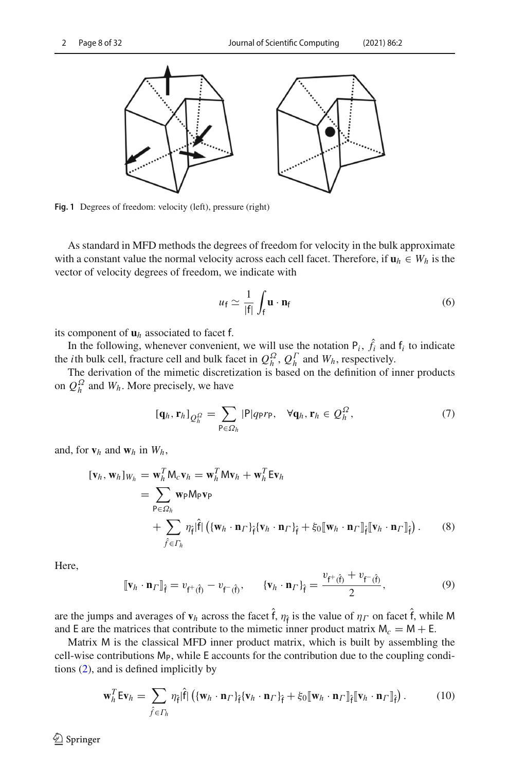

Fig. 1 Degrees of freedom: velocity (left), pressure (right)

As standard in MFD methods the degrees of freedom for velocity in the bulk approximate with a constant value the normal velocity across each cell facet. Therefore, if  $\mathbf{u}_h \in W_h$  is the vector of velocity degrees of freedom, we indicate with

$$
u_{\mathsf{f}} \simeq \frac{1}{|\mathsf{f}|} \int_{\mathsf{f}} \mathbf{u} \cdot \mathbf{n}_{\mathsf{f}} \tag{6}
$$

its component of **u***<sup>h</sup>* associated to facet f.

In the following, whenever convenient, we will use the notation  $P_i$ ,  $\hat{f}_i$  and  $f_i$  to indicate the *i*th bulk cell, fracture cell and bulk facet in  $Q_h^{\Omega}$ ,  $Q_h^{\Gamma}$  and  $W_h$ , respectively.

The derivation of the mimetic discretization is based on the definition of inner products on  $Q_h^{\Omega}$  and  $W_h$ . More precisely, we have

<span id="page-7-1"></span>
$$
[\mathbf{q}_h, \mathbf{r}_h]_{Q_h^{\Omega}} = \sum_{\mathbf{P} \in \Omega_h} |\mathbf{P}| q_{\mathbf{P}} r_{\mathbf{P}}, \quad \forall \mathbf{q}_h, \mathbf{r}_h \in Q_h^{\Omega}, \tag{7}
$$

and, for  $\mathbf{v}_h$  and  $\mathbf{w}_h$  in  $W_h$ ,

<span id="page-7-0"></span>
$$
\begin{split} [\mathbf{v}_h, \mathbf{w}_h]_{W_h} &= \mathbf{w}_h^T \mathbf{M}_c \mathbf{v}_h = \mathbf{w}_h^T \mathbf{M} \mathbf{v}_h + \mathbf{w}_h^T \mathbf{E} \mathbf{v}_h \\ &= \sum_{\mathsf{P} \in \Omega_h} \mathbf{w}_\mathsf{P} \mathsf{M}_\mathsf{P} \mathbf{v}_\mathsf{P} \\ &+ \sum_{\hat{f} \in \Gamma_h} \eta_{\hat{f}} |\hat{f}| \left( \{\mathbf{w}_h \cdot \mathbf{n}_\Gamma\}_{\hat{f}}^2 \{\mathbf{v}_h \cdot \mathbf{n}_\Gamma\}_{\hat{f}}^2 + \hat{\xi}_0 \|\mathbf{w}_h \cdot \mathbf{n}_\Gamma\|_{\hat{f}} \|\mathbf{v}_h \cdot \mathbf{n}_\Gamma\|_{\hat{f}} \right). \end{split} \tag{8}
$$

Here,

$$
\[\mathbf{v}_h \cdot \mathbf{n}_\Gamma\]_{\hat{\mathsf{f}}} = v_{\mathsf{f}^+(\hat{\mathsf{f}})} - v_{\mathsf{f}^-(\hat{\mathsf{f}})}, \qquad \{\mathbf{v}_h \cdot \mathbf{n}_\Gamma\}_{\hat{\mathsf{f}}} = \frac{v_{\mathsf{f}^+(\hat{\mathsf{f}})} + v_{\mathsf{f}^-(\hat{\mathsf{f}})}}{2},\tag{9}
$$

are the jumps and averages of  $\mathbf{v}_h$  across the facet f,  $\eta_{\hat{f}}$  is the value of  $\eta_{\Gamma}$  on facet f, while M and E are the matrices that contribute to the mimetic inner product matrix  $M_c = M + E$ .

Matrix M is the classical MFD inner product matrix, which is built by assembling the cell-wise contributions  $Mp$ , while E accounts for the contribution due to the coupling conditions [\(2\)](#page-4-1), and is defined implicitly by

<span id="page-7-2"></span>
$$
\mathbf{w}_{h}^{T} \mathbf{E} \mathbf{v}_{h} = \sum_{\hat{f} \in \Gamma_{h}} \eta_{\hat{f}} |\hat{f}| \left( \{ \mathbf{w}_{h} \cdot \mathbf{n}_{\Gamma} \}_{\hat{f}} \{ \mathbf{v}_{h} \cdot \mathbf{n}_{\Gamma} \}_{\hat{f}} + \xi_{0} [\! [\mathbf{w}_{h} \cdot \mathbf{n}_{\Gamma} ]\! ]_{\hat{f}} [\! [\mathbf{v}_{h} \cdot \mathbf{n}_{\Gamma} ]\! ]_{\hat{f}} \right). \tag{10}
$$

 $\circledcirc$  Springer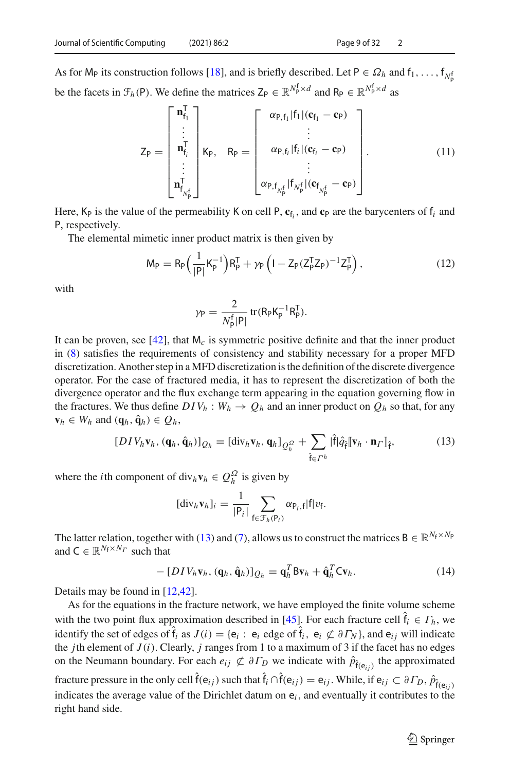As for M<sub>P</sub> its construction follows [\[18\]](#page-30-1), and is briefly described. Let  $P \in \Omega_h$  and  $f_1, \ldots, f_{N_h^l}$ P be the facets in  $\mathcal{F}_h(P)$ . We define the matrices  $Z_P \in \mathbb{R}^{N_P^f \times d}$  and  $R_P \in \mathbb{R}^{N_P^f \times d}$  as

<span id="page-8-2"></span>
$$
Z_{P} = \begin{bmatrix} \mathbf{n}_{f_{1}}^{T} \\ \vdots \\ \mathbf{n}_{f_{i}}^{T} \\ \vdots \\ \mathbf{n}_{f_{N_{P}^{f}}^{T}}^{T} \end{bmatrix} K_{P}, R_{P} = \begin{bmatrix} \alpha_{P,f_{1}}|f_{1}|(c_{f_{1}} - c_{P}) \\ \vdots \\ \alpha_{P,f_{r}|f_{i}}|c_{f_{i}} - c_{P}) \\ \vdots \\ \alpha_{P,f_{N_{P}^{f}}}|f_{N_{P}^{f}}|c_{f_{N_{P}^{f}}^{F}} - c_{P}) \end{bmatrix}.
$$
 (11)

Here,  $K_P$  is the value of the permeability K on cell P,  $c_f$ , and  $c_P$  are the barycenters of  $f_i$  and P, respectively.

The elemental mimetic inner product matrix is then given by

<span id="page-8-3"></span>
$$
M_{P} = R_{P} \Big( \frac{1}{|P|} K_{P}^{-1} \Big) R_{P}^{T} + \gamma_{P} \left( I - Z_{P} (Z_{P}^{T} Z_{P})^{-1} Z_{P}^{T} \right), \qquad (12)
$$

with

$$
\gamma_P = \frac{2}{N_P^f|P|} \operatorname{tr}(R_P K_P^{-1} R_P^T).
$$

It can be proven, see [\[42](#page-30-10)], that M*<sup>c</sup>* is symmetric positive definite and that the inner product in [\(8\)](#page-7-0) satisfies the requirements of consistency and stability necessary for a proper MFD discretization. Another step in a MFD discretization is the definition of the discrete divergence operator. For the case of fractured media, it has to represent the discretization of both the divergence operator and the flux exchange term appearing in the equation governing flow in the fractures. We thus define  $DIV_h: W_h \to Q_h$  and an inner product on  $Q_h$  so that, for any  $\mathbf{v}_h \in W_h$  and  $(\mathbf{q}_h, \hat{\mathbf{q}}_h) \in Q_h$ ,

<span id="page-8-0"></span>
$$
[DIV_h\mathbf{v}_h, (\mathbf{q}_h, \hat{\mathbf{q}}_h)]_{Q_h} = [\text{div}_h\mathbf{v}_h, \mathbf{q}_h]_{Q_h^{\Omega}} + \sum_{\hat{\mathbf{f}} \in \Gamma^h} |\hat{\mathbf{f}}|\hat{q}_{\hat{\mathbf{f}}}[\mathbf{v}_h \cdot \mathbf{n}_\Gamma]\rangle_{\hat{\mathbf{f}}},\tag{13}
$$

where the *i*th component of div<sub>*h*</sub>**v**<sub>*h*</sub>  $\in Q_h^{\Omega}$  is given by

$$
[\mathrm{div}_h \mathbf{v}_h]_i = \frac{1}{|\mathsf{P}_i|} \sum_{\mathsf{f} \in \mathcal{F}_h(\mathsf{P}_i)} \alpha_{\mathsf{P}_i, \mathsf{f}} |\mathsf{f}| \nu_{\mathsf{f}}.
$$

The latter relation, together with [\(13\)](#page-8-0) and [\(7\)](#page-7-1), allows us to construct the matrices  $B \in \mathbb{R}^{N_f \times N_p}$ and  $C \in \mathbb{R}^{N_f \times N_f}$  such that

<span id="page-8-1"></span>
$$
-[DIV_h\mathbf{v}_h, (\mathbf{q}_h, \hat{\mathbf{q}}_h)]_{Q_h} = \mathbf{q}_h^T B\mathbf{v}_h + \hat{\mathbf{q}}_h^T C\mathbf{v}_h.
$$
 (14)

Details may be found in [\[12](#page-29-2)[,42\]](#page-30-10).

As for the equations in the fracture network, we have employed the finite volume scheme with the two point flux approximation described in [\[45](#page-31-8)]. For each fracture cell  $f_i \in \Gamma_h$ , we identify the set of edges of  $f_i$  as  $J(i) = \{e_i : e_i \text{ edge of } f_i, e_i \not\subset \partial F_N\}$ , and  $e_{ij}$  will indicate the *j*th element of *J* (*i*). Clearly, *j* ranges from 1 to a maximum of 3 if the facet has no edges on the Neumann boundary. For each  $e_{ij} \not\subset \partial F_D$  we indicate with  $\hat{p}_{\hat{f}(e_{ij})}$  the approximated fracture pressure in the only cell  $f(e_{ij})$  such that  $f_i \cap f(e_{ij}) = e_{ij}$ . While, if  $e_{ij} \subset \partial \Gamma_D$ ,  $\hat{p}_{\hat{f}(e_{ij})}$ indicates the average value of the Dirichlet datum on  $e_i$ , and eventually it contributes to the right hand side.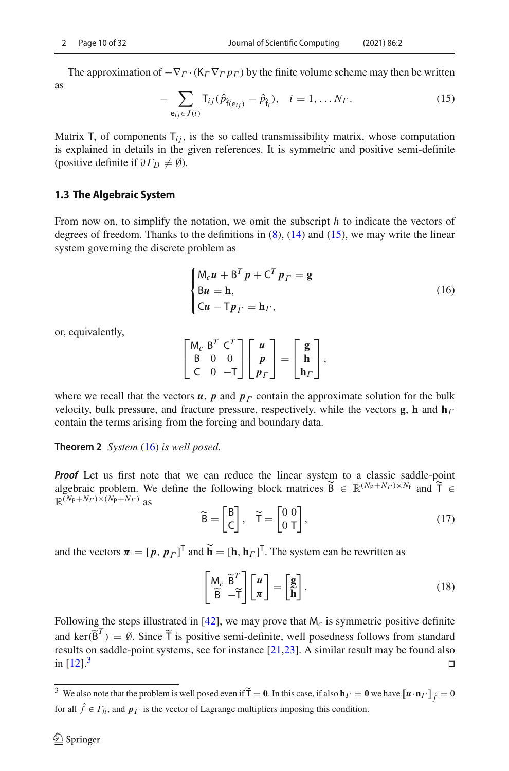The approximation of  $-\nabla_{\Gamma} \cdot (K_{\Gamma} \nabla_{\Gamma} p_{\Gamma})$  by the finite volume scheme may then be written as

<span id="page-9-0"></span>
$$
-\sum_{\mathbf{e}_{ij}\in J(i)}\mathsf{T}_{ij}(\hat{p}_{\hat{\mathsf{f}}(\mathbf{e}_{ij})}-\hat{p}_{\hat{\mathsf{f}}_i}),\quad i=1,\ldots N_{\Gamma}.\tag{15}
$$

Matrix T, of components  $T_{ij}$ , is the so called transmissibility matrix, whose computation is explained in details in the given references. It is symmetric and positive semi-definite (positive definite if  $\partial \Gamma_D \neq \emptyset$ ).

### **1.3 The Algebraic System**

From now on, to simplify the notation, we omit the subscript *h* to indicate the vectors of degrees of freedom. Thanks to the definitions in  $(8)$ ,  $(14)$  and  $(15)$ , we may write the linear system governing the discrete problem as

<span id="page-9-1"></span>
$$
\begin{cases} M_c u + B^T p + C^T p_T = g \\ B u = h, \\ Cu - T p_T = h_T, \end{cases}
$$
 (16)

or, equivalently,

$$
\begin{bmatrix} M_C & B^T & C^T \\ B & 0 & 0 \\ C & 0 & -T \end{bmatrix} \begin{bmatrix} u \\ p \\ p_T \end{bmatrix} = \begin{bmatrix} g \\ h \\ h_{\Gamma} \end{bmatrix},
$$

where we recall that the vectors  $u$ ,  $p$  and  $p<sub>Γ</sub>$  contain the approximate solution for the bulk velocity, bulk pressure, and fracture pressure, respectively, while the vectors **g**, **h** and  $\mathbf{h}_{\Gamma}$ contain the terms arising from the forcing and boundary data.

#### **Theorem 2** *System* [\(16\)](#page-9-1) *is well posed.*

*Proof* Let us first note that we can reduce the linear system to a classic saddle-point algebraic problem. We define the following block matrices  $\widetilde{B} \in \mathbb{R}^{(N_P+N_T)\times N_f}$  and  $\widetilde{T} \in$  $\mathbb{R}^{(N_{\text{P}}+N_{\Gamma})\times(N_{\text{P}}+N_{\Gamma})}$  as

$$
\widetilde{\mathbf{B}} = \begin{bmatrix} \mathbf{B} \\ \mathbf{C} \end{bmatrix}, \quad \widetilde{\mathbf{T}} = \begin{bmatrix} 0 & 0 \\ 0 & \mathbf{T} \end{bmatrix}, \tag{17}
$$

and the vectors  $\boldsymbol{\pi} = [\boldsymbol{p}, \boldsymbol{p}_\Gamma]^\mathsf{T}$  and  $\tilde{\mathbf{h}} = [\mathbf{h}, \mathbf{h}_\Gamma]^\mathsf{T}$ . The system can be rewritten as

$$
\begin{bmatrix} M_c & \widetilde{B}^T \\ \widetilde{B} & -\widetilde{T} \end{bmatrix} \begin{bmatrix} u \\ \pi \end{bmatrix} = \begin{bmatrix} g \\ \widetilde{h} \end{bmatrix}.
$$
 (18)

Following the steps illustrated in  $[42]$ , we may prove that  $M<sub>c</sub>$  is symmetric positive definite and ker( $\tilde{B}^T$ ) = Ø. Since  $\tilde{T}$  is positive semi-definite, well posedness follows from standard results on saddle-point systems, see for instance [\[21](#page-30-21)[,23\]](#page-30-16). A similar result may be found also in  $[121]^3$ in  $[12].^3$  $[12].^3$ 

<span id="page-9-2"></span><sup>&</sup>lt;sup>3</sup> We also note that the problem is well posed even if  $\tilde{\mathsf{T}} = \mathbf{0}$ . In this case, if also  $\mathbf{h}_{\Gamma} = \mathbf{0}$  we have  $[\![\mathbf{u} \cdot \mathbf{n}_{\Gamma}]\!]_f = 0$ for all  $\hat{f} \in \Gamma_h$ , and  $p_\Gamma$  is the vector of Lagrange multipliers imposing this condition.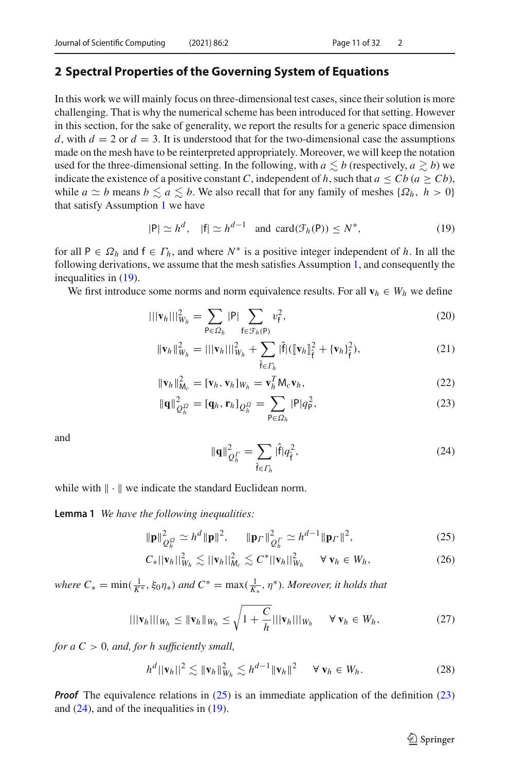### <span id="page-10-0"></span>**2 Spectral Properties of the Governing System of Equations**

In this work we will mainly focus on three-dimensional test cases, since their solution is more challenging. That is why the numerical scheme has been introduced for that setting. However in this section, for the sake of generality, we report the results for a generic space dimension *d*, with  $d = 2$  or  $d = 3$ . It is understood that for the two-dimensional case the assumptions made on the mesh have to be reinterpreted appropriately. Moreover, we will keep the notation used for the three-dimensional setting. In the following, with  $a \lesssim b$  (respectively,  $a \gtrsim b$ ) we indicate the existence of a positive constant *C*, independent of *h*, such that  $a \leq Cb$  ( $a \geq Cb$ ), while  $a \simeq b$  means  $b \lesssim a \lesssim b$ . We also recall that for any family of meshes  $\{\Omega_h, h > 0\}$ that satisfy Assumption [1](#page-5-1) we have

<span id="page-10-1"></span>
$$
|\mathsf{P}| \simeq h^d, \quad |\mathsf{f}| \simeq h^{d-1} \quad \text{and } \text{card}(\mathcal{F}_h(\mathsf{P})) \le N^*, \tag{19}
$$

for all  $P \in \Omega_h$  and  $f \in \Gamma_h$ , and where  $N^*$  is a positive integer independent of h. In all the following derivations, we assume that the mesh satisfies Assumption [1,](#page-5-1) and consequently the inequalities in [\(19\)](#page-10-1).

We first introduce some norms and norm equivalence results. For all  $\mathbf{v}_h \in W_h$  we define

$$
|||\mathbf{v}_h|||_{W_h}^2 = \sum_{\mathsf{P}\in\mathcal{Q}_h} |\mathsf{P}| \sum_{\mathsf{f}\in\mathcal{F}_h(\mathsf{P})} v_{\mathsf{f}}^2,\tag{20}
$$

$$
\|\mathbf{v}_h\|_{W_h}^2 = |||\mathbf{v}_h|||_{W_h}^2 + \sum_{\hat{\mathbf{f}} \in \Gamma_h} |\hat{\mathbf{f}}| (\|\mathbf{v}_h\|_{\hat{\mathbf{f}}}^2 + {\{\mathbf{v}_h\}}_{\hat{\mathbf{f}}}^2),
$$
\n(21)

$$
\|\mathbf{v}_h\|_{\mathsf{M}_c}^2 = [\mathbf{v}_h, \mathbf{v}_h]_{W_h} = \mathbf{v}_h^T \mathsf{M}_c \mathbf{v}_h, \tag{22}
$$

$$
\|\mathbf{q}\|_{Q_h^{\Omega}}^2 = [\mathbf{q}_h, \mathbf{r}_h]_{Q_h^{\Omega}} = \sum_{\mathbf{P}\in\Omega_h} |\mathbf{P}|q_{\mathbf{P}}^2,\tag{23}
$$

and

<span id="page-10-4"></span><span id="page-10-3"></span>
$$
\|\mathbf{q}\|_{Q_h^{\Gamma}}^2 = \sum_{\hat{\mathbf{f}} \in \Gamma_h} |\hat{\mathbf{f}}| q_{\hat{\mathbf{f}}}^2,\tag{24}
$$

<span id="page-10-7"></span>while with  $\|\cdot\|$  we indicate the standard Euclidean norm.

**Lemma 1** *We have the following inequalities:*

<span id="page-10-2"></span>
$$
\|\mathbf{p}\|_{Q_h^{\Omega}}^2 \simeq h^d \|\mathbf{p}\|^2, \qquad \|\mathbf{p}_\Gamma\|_{Q_h^{\Gamma}}^2 \simeq h^{d-1} \|\mathbf{p}_\Gamma\|^2,\tag{25}
$$

$$
C_{*}||\mathbf{v}_{h}||_{W_{h}}^{2} \lesssim ||\mathbf{v}_{h}||_{M_{c}}^{2} \lesssim C^{*}||\mathbf{v}_{h}||_{W_{h}}^{2} \quad \forall \mathbf{v}_{h} \in W_{h}, \tag{26}
$$

*where*  $C_* = \min(\frac{1}{K^*}, \xi_0 \eta_*)$  *and*  $C^* = \max(\frac{1}{K_*}, \eta^*)$ *. Moreover, it holds that* 

<span id="page-10-5"></span>
$$
|||\mathbf{v}_h|||_{W_h} \leq \|\mathbf{v}_h\|_{W_h} \leq \sqrt{1+\frac{C}{h}}|||\mathbf{v}_h|||_{W_h} \quad \forall \mathbf{v}_h \in W_h,
$$
\n(27)

*for a*  $C > 0$ *, and, for h sufficiently small,* 

<span id="page-10-6"></span>
$$
h^d ||\mathbf{v}_h||^2 \lesssim ||\mathbf{v}_h||^2_{W_h} \lesssim h^{d-1} ||\mathbf{v}_h||^2 \quad \forall \mathbf{v}_h \in W_h. \tag{28}
$$

*Proof* The equivalence relations in [\(25\)](#page-10-2) is an immediate application of the definition [\(23\)](#page-10-3) and  $(24)$ , and of the inequalities in  $(19)$ .

 $\circled{2}$  Springer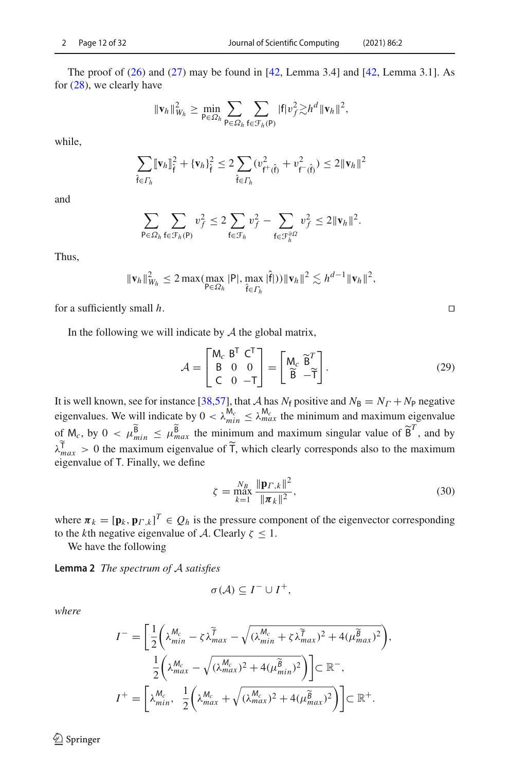The proof of  $(26)$  and  $(27)$  may be found in  $[42,$  Lemma 3.4] and  $[42,$  Lemma 3.1]. As for [\(28\)](#page-10-6), we clearly have

$$
\|\mathbf{v}_h\|_{W_h}^2 \geq \min_{\mathsf{P}\in\Omega_h}\sum_{\mathsf{P}\in\Omega_h}\sum_{\mathsf{f}\in\mathcal{F}_h(\mathsf{P})}|\mathsf{f}|v_f^2\gtrsim h^d\|\mathbf{v}_h\|^2,
$$

while,

$$
\sum_{\hat{\mathbf{f}} \in \Gamma_h} [ \mathbf{v}_h ]_{\hat{\mathbf{f}}}^2 + \{ \mathbf{v}_h \}_{\hat{\mathbf{f}}}^2 \le 2 \sum_{\hat{\mathbf{f}} \in \Gamma_h} (v_{\mathbf{f}^+ (\hat{\mathbf{f}})}^2 + v_{\mathbf{f}^- (\hat{\mathbf{f}})}^2) \le 2 \| \mathbf{v}_h \|^2
$$

and

$$
\sum_{\mathsf{P}\in\Omega_h}\sum_{\mathsf{f}\in\mathcal{F}_h(\mathsf{P})}v_f^2\leq 2\sum_{\mathsf{f}\in\mathcal{F}_h}v_f^2-\sum_{\mathsf{f}\in\mathcal{F}_h^{\partial\Omega}}v_f^2\leq 2\|\mathbf{v}_h\|^2.
$$

Thus,

$$
\|\mathbf{v}_h\|_{W_h}^2 \le 2 \max(\max_{\mathbf{P} \in \Omega_h} |\mathbf{P}|, \max_{\hat{\mathbf{f}} \in \Gamma_h} |\hat{\mathbf{f}}|)) \|\mathbf{v}_h\|^2 \lesssim h^{d-1} \|\mathbf{v}_h\|^2,
$$

for a sufficiently small  $h$ .

In the following we will indicate by *A* the global matrix,

$$
\mathcal{A} = \begin{bmatrix} M_c & B^T & C^T \\ B & 0 & 0 \\ C & 0 & -T \end{bmatrix} = \begin{bmatrix} M_c & \widetilde{B}^T \\ \widetilde{B} & -\widetilde{T} \end{bmatrix}.
$$
 (29)

It is well known, see for instance [\[38](#page-30-22)[,57](#page-31-9)], that *A* has  $N_f$  positive and  $N_B = N_f + N_P$  negative eigenvalues. We will indicate by  $0 < \lambda_{min}^{M_c} \leq \lambda_{max}^{M_c}$  the minimum and maximum eigenvalue of  $M_c$ , by  $0 < \mu \frac{\tilde{B}}{min} \leq \mu \frac{\tilde{B}}{max}$  the minimum and maximum singular value of  $\tilde{B}^T$ , and by  $\lambda_{max}^T > 0$  the maximum eigenvalue of  $\tilde{T}$ , which clearly corresponds also to the maximum eigenvalue of T. Finally, we define

<span id="page-11-1"></span><span id="page-11-0"></span>
$$
\zeta = \max_{k=1}^{N_B} \frac{\|\mathbf{p}_{\Gamma,k}\|^2}{\|\mathbf{\pi}_k\|^2},\tag{30}
$$

where  $\boldsymbol{\pi}_k = [\mathbf{p}_k, \mathbf{p}_{k,k}]^T \in Q_h$  is the pressure component of the eigenvector corresponding to the *k*th negative eigenvalue of *A*. Clearly  $\zeta \leq 1$ .

We have the following

**Lemma 2** *The spectrum of A satisfies*

$$
\sigma(\mathcal{A}) \subseteq I^- \cup I^+,
$$

*where*

$$
I^{-} = \left[ \frac{1}{2} \left( \lambda_{min}^{M_c} - \zeta \lambda_{max}^{\widetilde{T}} - \sqrt{(\lambda_{min}^{M_c} + \zeta \lambda_{max}^{\widetilde{T}})^2 + 4(\mu_{max}^{\widetilde{B}})^2} \right),
$$
  

$$
\frac{1}{2} \left( \lambda_{max}^{M_c} - \sqrt{(\lambda_{max}^{M_c})^2 + 4(\mu_{min}^{\widetilde{B}})^2} \right) \right] \subset \mathbb{R}^-,
$$
  

$$
I^{+} = \left[ \lambda_{min}^{M_c}, \frac{1}{2} \left( \lambda_{max}^{M_c} + \sqrt{(\lambda_{max}^{M_c})^2 + 4(\mu_{max}^{\widetilde{B}})^2} \right) \right] \subset \mathbb{R}^+.
$$

 $\circledcirc$  Springer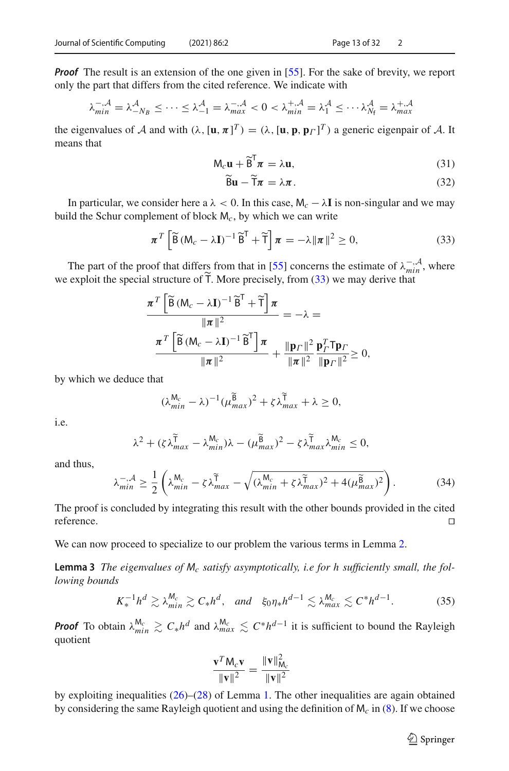*Proof* The result is an extension of the one given in [\[55](#page-31-10)]. For the sake of brevity, we report only the part that differs from the cited reference. We indicate with

$$
\lambda_{min}^{-,A} = \lambda_{-N_B}^A \leq \cdots \leq \lambda_{-1}^A = \lambda_{max}^{-,A} < 0 < \lambda_{min}^{+,A} = \lambda_1^A \leq \cdots \lambda_{N_f}^A = \lambda_{max}^{+,A}
$$

the eigenvalues of *A* and with  $(\lambda, [\mathbf{u}, \pi]^T) = (\lambda, [\mathbf{u}, \mathbf{p}, \mathbf{p}_T]^T)$  a generic eigenpair of *A*. It means that

$$
M_c \mathbf{u} + \widetilde{\mathbf{B}}^T \pi = \lambda \mathbf{u},\tag{31}
$$

$$
\widetilde{\mathbf{B}}\mathbf{u} - \widetilde{\mathbf{T}}\pi = \lambda \pi. \tag{32}
$$

In particular, we consider here a  $\lambda < 0$ . In this case,  $M_c - \lambda I$  is non-singular and we may build the Schur complement of block M*c*, by which we can write

<span id="page-12-0"></span>
$$
\boldsymbol{\pi}^T \left[ \widetilde{\mathbf{B}} \left( \mathbf{M}_c - \lambda \mathbf{I} \right)^{-1} \widetilde{\mathbf{B}}^T + \widetilde{\mathbf{T}} \right] \boldsymbol{\pi} = -\lambda \|\boldsymbol{\pi}\|^2 \ge 0, \tag{33}
$$

The part of the proof that differs from that in [\[55\]](#page-31-10) concerns the estimate of  $\lambda_{min}^{-,A}$ , where we exploit the special structure of  $\tilde{T}$ . More precisely, from [\(33\)](#page-12-0) we may derive that

$$
\frac{\pi^T \left[ \widetilde{\mathbf{B}} \left( \mathsf{M}_c - \lambda \mathbf{I} \right)^{-1} \widetilde{\mathbf{B}}^{\mathsf{T}} + \widetilde{\mathsf{T}} \right] \pi}{\|\pi\|^2} = -\lambda =
$$
\n
$$
\frac{\pi^T \left[ \widetilde{\mathbf{B}} \left( \mathsf{M}_c - \lambda \mathbf{I} \right)^{-1} \widetilde{\mathbf{B}}^{\mathsf{T}} \right] \pi}{\|\pi\|^2} + \frac{\|\mathbf{p}_\Gamma\|^2}{\|\pi\|^2} \frac{\mathbf{p}_\Gamma^T \mathsf{T} \mathbf{p}_\Gamma}{\|\mathbf{p}_\Gamma\|^2} \ge 0,
$$

by which we deduce that

$$
(\lambda_{min}^{M_c} - \lambda)^{-1} (\mu_{max}^{\widetilde{B}})^2 + \zeta \lambda_{max}^{\widetilde{T}} + \lambda \ge 0,
$$

i.e.

$$
\lambda^2 + (\zeta \lambda_{max}^{\widetilde{T}} - \lambda_{min}^{M_c})\lambda - (\mu_{max}^{\widetilde{B}})^2 - \zeta \lambda_{max}^{\widetilde{T}}\lambda_{min}^{M_c} \le 0,
$$

and thus,

<span id="page-12-2"></span>
$$
\lambda_{min}^{-,A} \ge \frac{1}{2} \left( \lambda_{min}^{M_c} - \zeta \lambda_{max}^{\tilde{T}} - \sqrt{(\lambda_{min}^{M_c} + \zeta \lambda_{max}^{\tilde{T}})^2 + 4(\mu_{max}^{\tilde{B}})^2} \right).
$$
(34)

The proof is concluded by integrating this result with the other bounds provided in the cited reference.

We can now proceed to specialize to our problem the various terms in Lemma [2.](#page-11-0)

**Lemma 3** *The eigenvalues of M<sup>c</sup> satisfy asymptotically, i.e for h sufficiently small, the following bounds*

<span id="page-12-1"></span>
$$
K_*^{-1}h^d \gtrsim \lambda_{\min}^{M_c} \gtrsim C_*h^d, \quad \text{and} \quad \xi_0 \eta_* h^{d-1} \lesssim \lambda_{\max}^{M_c} \lesssim C^*h^{d-1}.
$$

*Proof* To obtain  $\lambda_{min}^{M_c} \gtrsim C_* h^d$  and  $\lambda_{max}^{M_c} \lesssim C^* h^{d-1}$  it is sufficient to bound the Rayleigh quotient

$$
\frac{\mathbf{v}^T \mathbf{M}_c \mathbf{v}}{\|\mathbf{v}\|^2} = \frac{\|\mathbf{v}\|_{\mathbf{M}_c}^2}{\|\mathbf{v}\|^2}
$$

by exploiting inequalities  $(26)$ – $(28)$  of Lemma [1.](#page-10-7) The other inequalities are again obtained by considering the same Rayleigh quotient and using the definition of M*<sup>c</sup>* in [\(8\)](#page-7-0). If we choose

 $\circled{2}$  Springer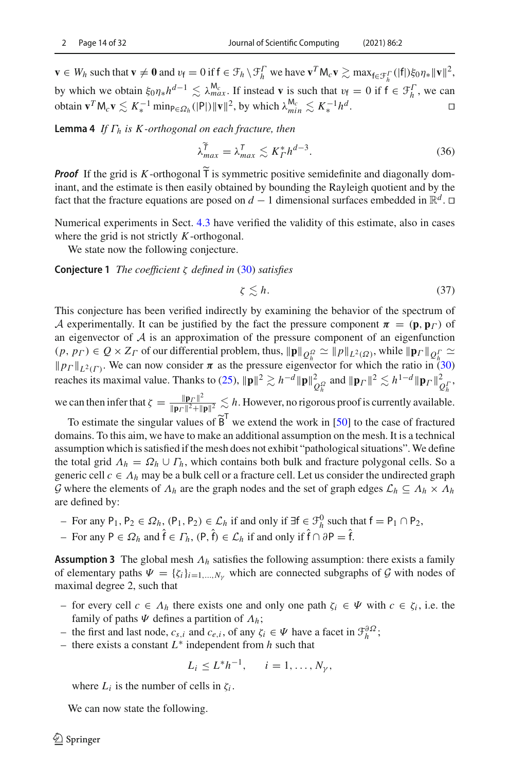$\mathbf{v} \in W_h$  such that  $\mathbf{v} \neq \mathbf{0}$  and  $v_f = 0$  if  $f \in \mathcal{F}_h \setminus \mathcal{F}_h^{\Gamma}$  we have  $\mathbf{v}^{\mathcal{T}} \mathsf{M}_c \mathbf{v} \gtrsim \max_{f \in \mathcal{F}_h^{\Gamma}} (|f|) \xi_0 \eta_* \|\mathbf{v}\|^2$ . by which we obtain  $\xi_0 \eta_* h^{d-1} \lesssim \lambda_{max}^{M_c}$ . If instead **v** is such that  $v_f = 0$  if  $f \in \mathcal{F}_h^{\Gamma}$ , we can  $\text{obtain } \mathbf{v}^T \mathbf{M}_c \mathbf{v} \lesssim K_*^{-1} \min_{\mathbf{P} \in \Omega_h} (|\mathbf{P}|) \|\mathbf{v}\|^2$ , by which  $\lambda_{min}^{M_c} \lesssim K_*^{-1} h^d$ .

**Lemma 4** *If* Γ*<sup>h</sup> is K -orthogonal on each fracture, then*

<span id="page-13-2"></span>
$$
\lambda_{max}^{\tilde{T}} = \lambda_{max}^T \lesssim K_{\Gamma}^* h^{d-3}.
$$
\n(36)

**Proof** If the grid is  $K$ -orthogonal  $\widetilde{T}$  is symmetric positive semidefinite and diagonally dominant, and the estimate is then easily obtained by bounding the Rayleigh quotient and by the fact that the fracture equations are posed on *d* − 1 dimensional surfaces embedded in  $\mathbb{R}^d$ .  $\Box$ 

Numerical experiments in Sect. [4.3](#page-20-0) have verified the validity of this estimate, also in cases where the grid is not strictly *K*-orthogonal.

We state now the following conjecture.

**Conjecture 1** *The coefficient* ζ *defined in* [\(30\)](#page-11-1) *satisfies*

<span id="page-13-3"></span><span id="page-13-1"></span>
$$
\zeta \lesssim h. \tag{37}
$$

This conjecture has been verified indirectly by examining the behavior of the spectrum of *A* experimentally. It can be justified by the fact the pressure component  $\pi = (\mathbf{p}, \mathbf{p}_\Gamma)$  of an eigenvector of  $A$  is an approximation of the pressure component of an eigenfunction  $(p, p) \in Q \times Z_\Gamma$  of our differential problem, thus,  $\|\mathbf{p}\|_{Q_h^{\Omega}} \simeq \|p\|_{L^2(\Omega)}$ , while  $\|\mathbf{p}_\Gamma\|_{Q_{h,\Omega}^{\Gamma}} \simeq$  $||p_\Gamma||_{L^2(\Gamma)}$ . We can now consider  $\pi$  as the pressure eigenvector for which the ratio in [\(30\)](#page-11-1) reaches its maximal value. Thanks to [\(25\)](#page-10-2),  $\|\mathbf{p}\|^2 \gtrsim h^{-d} \|\mathbf{p}\|_{Q_h^{\Omega}}^2$  and  $\|\mathbf{p}_\Gamma\|^2 \lesssim h^{1-d} \|\mathbf{p}_\Gamma\|_{Q_h^{\Gamma}}^2$ ,

we can then infer that  $\zeta = \frac{\|\mathbf{p}_\Gamma\|^2}{\|\mathbf{p}_\Gamma\|^2 + \|\mathbf{p}\|^2} \lesssim h$ . However, no rigorous proof is currently available.

To estimate the singular values of  $\tilde{B}^T$  we extend the work in [\[50](#page-31-4)] to the case of fractured domains. To this aim, we have to make an additional assumption on the mesh. It is a technical assumption which is satisfied if the mesh does not exhibit "pathological situations". We define the total grid  $\Lambda_h = \Omega_h \cup \Gamma_h$ , which contains both bulk and fracture polygonal cells. So a generic cell  $c \in \Lambda_h$  may be a bulk cell or a fracture cell. Let us consider the undirected graph *G* where the elements of  $\Lambda_h$  are the graph nodes and the set of graph edges  $\mathcal{L}_h \subseteq \Lambda_h \times \Lambda_h$ are defined by:

- $-$  For any P<sub>1</sub>, P<sub>2</sub> ∈ Ω<sub>h</sub>, (P<sub>1</sub>, P<sub>2</sub>) ∈  $\mathcal{L}_h$  if and only if ∃f ∈  $\mathcal{F}_h^0$  such that  $f = P_1 \cap P_2$ ,
- <span id="page-13-0"></span> $-$  For any P ∈  $Ω<sub>h</sub>$  and  $f ∈ Γ<sub>h</sub>$ ,  $(P, f) ∈ L<sub>h</sub>$  if and only if  $f ∩ ∂P = f$ .

**Assumption 3** The global mesh  $\Lambda_h$  satisfies the following assumption: there exists a family of elementary paths  $\Psi = {\zeta_i}_{i=1,\dots,N_\nu}$  which are connected subgraphs of  $G$  with nodes of maximal degree 2, such that

- for every cell *c* ∈ Λ*<sup>h</sup>* there exists one and only one path ζ*<sup>i</sup>* ∈ Ψ with *c* ∈ ζ*<sup>i</sup>* , i.e. the family of paths  $\Psi$  defines a partition of  $\Lambda_h$ ;
- the first and last node,  $c_{s,i}$  and  $c_{e,i}$ , of any  $\zeta_i$  ∈ Ψ have a facet in  $\mathcal{F}_h^{\partial \Omega}$ ;
- there exists a constant *L*∗ independent from *h* such that

$$
L_i \leq L^* h^{-1}, \qquad i=1,\ldots,N_\gamma,
$$

where  $L_i$  is the number of cells in  $\zeta_i$ .

<span id="page-13-4"></span>We can now state the following.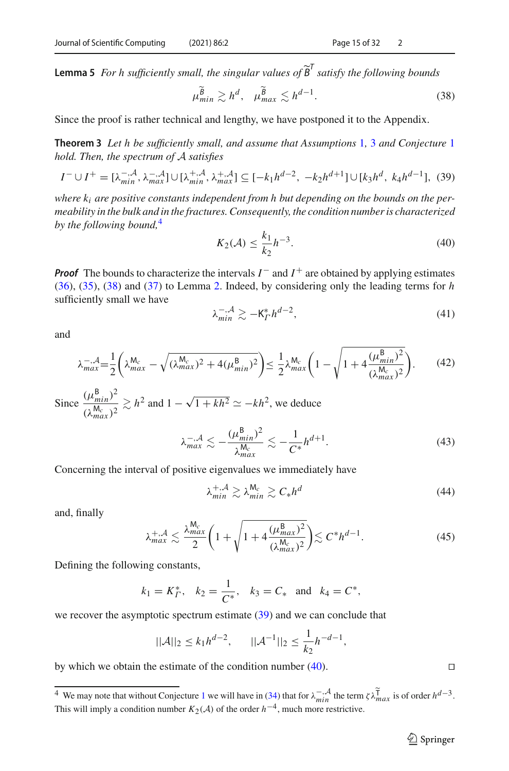**Lemma 5** *For h sufficiently small, the singular values of<sup>B</sup> <sup>T</sup> satisfy the following bounds*

<span id="page-14-1"></span>
$$
\mu_{min}^{\widetilde{B}} \gtrsim h^d, \quad \mu_{max}^{\widetilde{B}} \lesssim h^{d-1}.
$$
\n(38)

<span id="page-14-4"></span>Since the proof is rather technical and lengthy, we have postponed it to the Appendix.

**Theorem 3** *Let h be sufficiently small, and assume that Assumptions* [1](#page-5-1)*,* [3](#page-13-0) *and Conjecture* [1](#page-13-1) *hold. Then, the spectrum of A satisfies*

<span id="page-14-2"></span>
$$
I^- \cup I^+ = [\lambda_{\min}^{-,A}, \lambda_{\max}^{-,A}] \cup [\lambda_{\min}^{+,A}, \lambda_{\max}^{+,A}] \subseteq [-k_1 h^{d-2}, -k_2 h^{d+1}] \cup [k_3 h^d, k_4 h^{d-1}], \tag{39}
$$

*where ki are positive constants independent from h but depending on the bounds on the permeability in the bulk and in the fractures. Consequently, the condition number is characterized by the following bound,*[4](#page-14-0)

<span id="page-14-3"></span>
$$
K_2(\mathcal{A}) \le \frac{k_1}{k_2} h^{-3}.\tag{40}
$$

*Proof* The bounds to characterize the intervals  $I^-$  and  $I^+$  are obtained by applying estimates [\(36\)](#page-13-2), [\(35\)](#page-12-1), [\(38\)](#page-14-1) and [\(37\)](#page-13-3) to Lemma [2.](#page-11-0) Indeed, by considering only the leading terms for *h* sufficiently small we have

$$
\lambda_{min}^{-,A} \gtrsim -K_{\Gamma}^* h^{d-2},\tag{41}
$$

and

$$
\lambda_{max}^{-,A} = \frac{1}{2} \left( \lambda_{max}^{M_c} - \sqrt{(\lambda_{max}^{M_c})^2 + 4(\mu_{min}^B)^2} \right) \le \frac{1}{2} \lambda_{max}^{M_c} \left( 1 - \sqrt{1 + 4 \frac{(\mu_{min}^B)^2}{(\lambda_{max}^M)^2}} \right). \tag{42}
$$

Since  $\frac{(\mu_{min}^B)^2}{(\lambda_{max}^M)^2} \gtrsim h^2$  and  $1 - \sqrt{1 + kh^2} \simeq -kh^2$ , we deduce

$$
\lambda_{max}^{-,A} \lesssim -\frac{(\mu_{min}^B)^2}{\lambda_{max}^M} \lesssim -\frac{1}{C^*} h^{d+1}.
$$
 (43)

Concerning the interval of positive eigenvalues we immediately have

$$
\lambda_{min}^{+,A} \gtrsim \lambda_{min}^{M_c} \gtrsim C_* h^d \tag{44}
$$

and, finally

$$
\lambda_{max}^{+,A} \lesssim \frac{\lambda_{max}^{M_c}}{2} \bigg( 1 + \sqrt{1 + 4 \frac{(\mu_{max}^B)^2}{(\lambda_{max}^M)^2}} \bigg) \lesssim C^* h^{d-1}.
$$
 (45)

Defining the following constants,

$$
k_1 = K_{\Gamma}^*
$$
,  $k_2 = \frac{1}{C^*}$ ,  $k_3 = C_*$  and  $k_4 = C^*$ ,

we recover the asymptotic spectrum estimate [\(39\)](#page-14-2) and we can conclude that

$$
||\mathcal{A}||_2 \le k_1 h^{d-2}, \qquad ||\mathcal{A}^{-1}||_2 \le \frac{1}{k_2} h^{-d-1},
$$

<span id="page-14-0"></span>by which we obtain the estimate of the condition number [\(40\)](#page-14-3).  $\Box$ 

 $\circled{2}$  Springer

<sup>&</sup>lt;sup>4</sup> We may note that without Conjecture [1](#page-13-1) we will have in [\(34\)](#page-12-2) that for  $\lambda_{min}^{-A}$  the term  $\zeta \lambda_{max}^{\tau}$  is of order  $h^{d-3}$ . This will imply a condition number  $K_2(\mathcal{A})$  of the order  $h^{-4}$ , much more restrictive.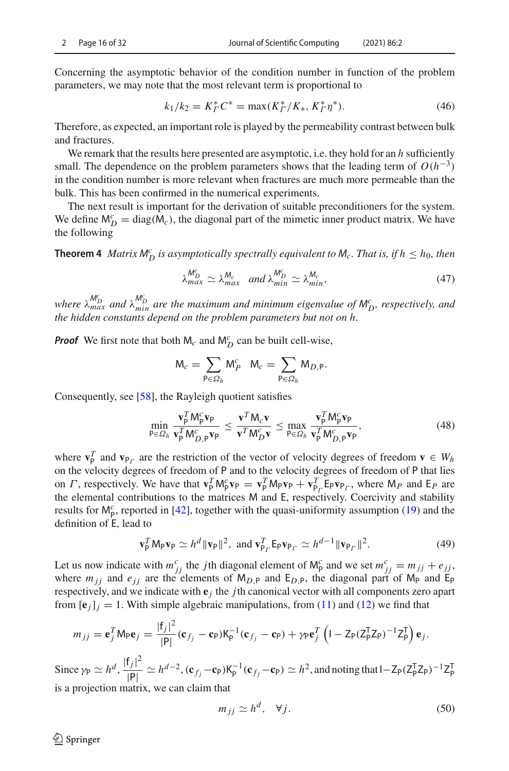Concerning the asymptotic behavior of the condition number in function of the problem parameters, we may note that the most relevant term is proportional to

<span id="page-15-3"></span>
$$
k_1/k_2 = K^*_\Gamma C^* = \max(K^*_{\Gamma}/K_*, K^*_{\Gamma}\eta^*). \tag{46}
$$

Therefore, as expected, an important role is played by the permeability contrast between bulk and fractures.

We remark that the results here presented are asymptotic, i.e. they hold for an *h* sufficiently small. The dependence on the problem parameters shows that the leading term of  $O(h^{-3})$ in the condition number is more relevant when fractures are much more permeable than the bulk. This has been confirmed in the numerical experiments.

<span id="page-15-2"></span>The next result is important for the derivation of suitable preconditioners for the system. We define  $M_D^c = \text{diag}(M_c)$ , the diagonal part of the mimetic inner product matrix. We have the following

**Theorem 4** *Matrix*  $M_D^c$  *is asymptotically spectrally equivalent to*  $M_c$ *. That is, if*  $h \leq h_0$ *, then* 

$$
\lambda_{max}^{M_D^c} \simeq \lambda_{max}^{M_c} \quad \text{and} \quad \lambda_{min}^{M_D^c} \simeq \lambda_{min}^{M_c}, \tag{47}
$$

where  $\lambda_{max}^{M_D^c}$  and  $\lambda_{min}^{M_D^c}$  are the maximum and minimum eigenvalue of  $M_D^c$ , respectively, and *the hidden constants depend on the problem parameters but not on h.*

**Proof** We first note that both  $M_c$  and  $M_D^c$  can be built cell-wise,

$$
M_c = \sum_{P \in \Omega_h} M_P^c \quad M_c = \sum_{P \in \Omega_h} M_{D,P}.
$$

Consequently, see [\[58](#page-31-11)], the Rayleigh quotient satisfies

$$
\min_{\mathbf{P}\in\mathcal{Q}_h} \frac{\mathbf{v}_\mathbf{P}^\mathbf{T} \mathsf{M}_\mathbf{P}^c \mathbf{v}_\mathbf{P}}{\mathbf{v}_\mathbf{P}^\mathbf{T} \mathsf{M}_\mathbf{D}^c, \mathbf{v}_\mathbf{P}} \le \frac{\mathbf{v}^\mathbf{T} \mathsf{M}_c \mathbf{v}}{\mathbf{v}^\mathbf{T} \mathsf{M}_\mathbf{D}^c \mathbf{v}} \le \max_{\mathbf{P}\in\mathcal{Q}_h} \frac{\mathbf{v}_\mathbf{P}^\mathbf{T} \mathsf{M}_\mathbf{P}^c \mathbf{v}_\mathbf{P}}{\mathbf{v}_\mathbf{P}^\mathbf{T} \mathsf{M}_\mathbf{D}^c, \mathbf{v}_\mathbf{P}},\tag{48}
$$

where  $\mathbf{v}_P^T$  and  $\mathbf{v}_{P_T}$  are the restriction of the vector of velocity degrees of freedom  $\mathbf{v} \in W_h$ on the velocity degrees of freedom of P and to the velocity degrees of freedom of P that lies on  $\Gamma$ , respectively. We have that  $\mathbf{v}_P^T \mathbf{M}_P \mathbf{v}_P = \mathbf{v}_P^T \mathbf{M}_P \mathbf{v}_P + \mathbf{v}_{P_\Gamma}^T \mathbf{E}_P \mathbf{v}_{P_\Gamma}$ , where  $\mathbf{M}_P$  and  $\mathbf{E}_P$  are the elemental contributions to the matrices M and E, respectively. Coercivity and stability results for  $M_P^c$ , reported in [\[42\]](#page-30-10), together with the quasi-uniformity assumption [\(19\)](#page-10-1) and the definition of E, lead to

<span id="page-15-0"></span>
$$
\mathbf{v}_{\mathsf{P}}^T \mathsf{M}_{\mathsf{P}} \mathbf{v}_{\mathsf{P}} \simeq h^d \|\mathbf{v}_{\mathsf{P}}\|^2, \text{ and } \mathbf{v}_{\mathsf{P}_\Gamma}^T \mathsf{E}_{\mathsf{P}} \mathbf{v}_{\mathsf{P}_\Gamma} \simeq h^{d-1} \|\mathbf{v}_{\mathsf{P}_\Gamma}\|^2. \tag{49}
$$

Let us now indicate with  $m_{jj}^c$  the *j*th diagonal element of  $M_p^c$  and we set  $m_{jj}^c = m_{jj} + e_{jj}$ , where  $m_{jj}$  and  $e_{jj}$  are the elements of  $M_{D,P}$  and  $E_{D,P}$ , the diagonal part of  $M_P$  and  $E_P$ respectively, and we indicate with  $\mathbf{e}_i$  the *j*th canonical vector with all components zero apart from  $[e_i]_i = 1$ . With simple algebraic manipulations, from [\(11\)](#page-8-2) and [\(12\)](#page-8-3) we find that

$$
m_{jj} = \mathbf{e}_j^T \mathsf{M}_p \mathbf{e}_j = \frac{|f_j|^2}{|\mathsf{P}|} (\mathbf{c}_{f_j} - \mathbf{c}_{\mathsf{P}}) \mathsf{K}_{\mathsf{P}}^{-1} (\mathbf{c}_{f_j} - \mathbf{c}_{\mathsf{P}}) + \gamma_{\mathsf{P}} \mathbf{e}_j^T (1 - \mathsf{Z}_{\mathsf{P}} (\mathsf{Z}_{\mathsf{P}}^T \mathsf{Z}_{\mathsf{P}})^{-1} \mathsf{Z}_{\mathsf{P}}^T) \mathbf{e}_j.
$$

Since  $\gamma_P \simeq h^d$ ,  $\frac{|f_j|^2}{|P|} \simeq h^{d-2}$ ,  $(\mathbf{c}_{f_j} - \mathbf{c}_P) \mathbf{K}_{\mathsf{P}}^{-1}(\mathbf{c}_{f_j} - \mathbf{c}_P) \simeq h^2$ , and noting that  $\mathbf{I} - \mathbf{Z}_{\mathsf{P}}(\mathbf{Z}_{\mathsf{P}}^T \mathbf{Z}_{\mathsf{P}})^{-1} \mathbf{Z}_{\mathsf{P}}^T$ is a projection matrix, we can claim that

<span id="page-15-1"></span> $m_{ij} \simeq h^d$ ,  $\forall j$ . (50)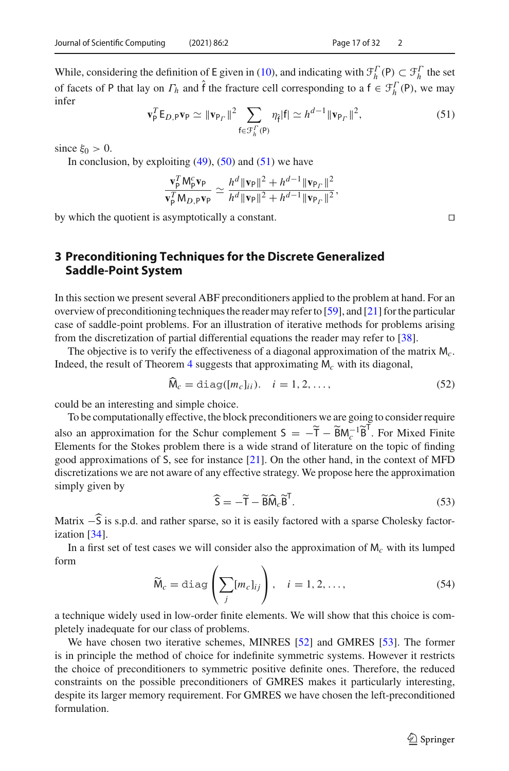of facets of P that lay on 
$$
\Gamma_h
$$
 and  $\hat{\mathbf{f}}$  the fracture cell corresponding to a  $\mathbf{f} \in \mathcal{F}_h^{\Gamma}(\mathsf{P})$ , we may  
infer  

$$
\mathbf{v}_{\mathsf{P}}^T \mathbf{E}_{D,\mathsf{P}} \mathbf{v}_{\mathsf{P}} \simeq \|\mathbf{v}_{\mathsf{P}_\Gamma}\|^2 \sum_{\eta_{\hat{\mathsf{P}}} \|\mathbf{f}| \simeq h^{d-1} \|\mathbf{v}_{\mathsf{P}_\Gamma}\|^2, \tag{51}
$$

<span id="page-16-1"></span>
$$
\mathbf{v}_{\mathsf{P}}^T \mathsf{E}_{D,\mathsf{P}} \mathbf{v}_{\mathsf{P}} \simeq \|\mathbf{v}_{\mathsf{P}_\Gamma}\|^2 \sum_{\mathsf{f} \in \mathcal{F}_h^{\Gamma}(\mathsf{P})} \eta_{\hat{\mathsf{f}}} |\mathsf{f}| \simeq h^{d-1} \|\mathbf{v}_{\mathsf{P}_\Gamma}\|^2,\tag{51}
$$

since  $\xi_0 > 0$ .

infer

In conclusion, by exploiting  $(49)$ ,  $(50)$  and  $(51)$  we have

$$
\frac{{\bf v}_{\rm p}^T{\bf M}_{\rm p}^c{\bf v}_{\rm p}}{\bf v}_{\rm p}^T{\bf M}_{\rm D, {\rm P}}^c{\bf v}_{\rm p}}\simeq\frac{h^d\|{\bf v}_{\rm p}\|^2+h^{d-1}\|{\bf v}_{{\rm P}_r}\|^2}{h^d\|{\bf v}_{\rm p}\|^2+h^{d-1}\|{\bf v}_{{\rm P}_r}\|^2},
$$

by which the quotient is asymptotically a constant.  $\Box$ 

# <span id="page-16-0"></span>**3 Preconditioning Techniques for the Discrete Generalized Saddle-Point System**

In this section we present several ABF preconditioners applied to the problem at hand. For an overview of preconditioning techniques the reader may refer to [\[59](#page-31-12)], and [\[21\]](#page-30-21) for the particular case of saddle-point problems. For an illustration of iterative methods for problems arising from the discretization of partial differential equations the reader may refer to [\[38](#page-30-22)].

The objective is to verify the effectiveness of a diagonal approximation of the matrix M*c*. Indeed, the result of Theorem [4](#page-15-2) suggests that approximating M*<sup>c</sup>* with its diagonal,

<span id="page-16-3"></span>
$$
\widehat{\mathsf{M}}_c = \text{diag}([m_c]_{ii}), \quad i = 1, 2, \dots,
$$
\n<sup>(52)</sup>

could be an interesting and simple choice.

To be computationally effective, the block preconditioners we are going to consider require also an approximation for the Schur complement  $S = -\tilde{T} - \tilde{B}M_C^{-1}\tilde{B}^T$ . For Mixed Finite Elements for the Stokes problem there is a wide strand of literature on the topic of finding good approximations of S, see for instance [\[21](#page-30-21)]. On the other hand, in the context of MFD discretizations we are not aware of any effective strategy. We propose here the approximation simply given by

<span id="page-16-2"></span>
$$
\widehat{\mathsf{S}} = -\widetilde{\mathsf{T}} - \widetilde{\mathsf{B}} \widehat{\mathsf{M}}_c \widetilde{\mathsf{B}}^\mathsf{T}.\tag{53}
$$

Matrix  $-\hat{S}$  is s.p.d. and rather sparse, so it is easily factored with a sparse Cholesky factorization [\[34\]](#page-30-23).

In a first set of test cases we will consider also the approximation of  $M_c$  with its lumped form

<span id="page-16-4"></span>
$$
\widetilde{\mathsf{M}}_c = \text{diag}\left(\sum_j [m_c]_{ij}\right), \quad i = 1, 2, \dots,
$$
\n(54)

a technique widely used in low-order finite elements. We will show that this choice is completely inadequate for our class of problems.

We have chosen two iterative schemes, MINRES [\[52](#page-31-13)] and GMRES [\[53\]](#page-31-14). The former is in principle the method of choice for indefinite symmetric systems. However it restricts the choice of preconditioners to symmetric positive definite ones. Therefore, the reduced constraints on the possible preconditioners of GMRES makes it particularly interesting, despite its larger memory requirement. For GMRES we have chosen the left-preconditioned formulation.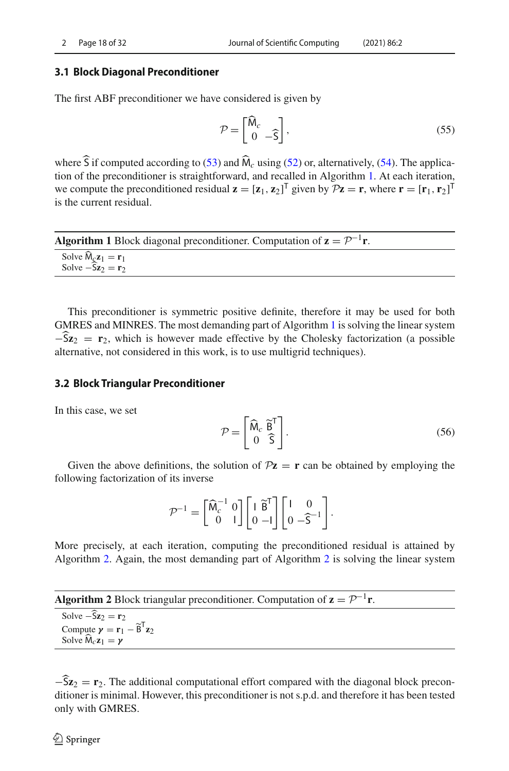### **3.1 Block Diagonal Preconditioner**

The first ABF preconditioner we have considered is given by

$$
\mathcal{P} = \begin{bmatrix} \widehat{\mathsf{M}}_c & \\ 0 & -\widehat{\mathsf{S}} \end{bmatrix},\tag{55}
$$

where  $\widehat{S}$  if computed according to [\(53\)](#page-16-2) and  $\widehat{M}_c$  using [\(52\)](#page-16-3) or, alternatively, [\(54\)](#page-16-4). The application of the preconditioner is straightforward, and recalled in Algorithm [1.](#page-17-0) At each iteration, we compute the preconditioned residual  $\mathbf{z} = [\mathbf{z}_1, \mathbf{z}_2]^\mathsf{T}$  given by  $\mathcal{P}\mathbf{z} = \mathbf{r}$ , where  $\mathbf{r} = [\mathbf{r}_1, \mathbf{r}_2]^\mathsf{T}$ is the current residual.

<span id="page-17-0"></span>**Algorithm 1** Block diagonal preconditioner. Computation of  $z = P^{-1}r$ .

| Solve $M_{\mathcal{L}}\mathbf{z}_1 = \mathbf{r}_1$ |  |  |
|----------------------------------------------------|--|--|
| Solve $-5z_2 = r_2$                                |  |  |

This preconditioner is symmetric positive definite, therefore it may be used for both GMRES and MINRES. The most demanding part of Algorithm [1](#page-17-0) is solving the linear system  $-\hat{S}z_2 = r_2$ , which is however made effective by the Cholesky factorization (a possible alternative, not considered in this work, is to use multigrid techniques).

### **3.2 Block Triangular Preconditioner**

In this case, we set

$$
\mathcal{P} = \begin{bmatrix} \widehat{\mathsf{M}}_c & \widetilde{\mathsf{B}}^{\mathsf{T}} \\ 0 & \widehat{\mathsf{S}} \end{bmatrix} . \tag{56}
$$

Given the above definitions, the solution of  $Pz = r$  can be obtained by employing the following factorization of its inverse

$$
\mathcal{P}^{-1} = \begin{bmatrix} \widehat{\mathsf{N}}_c^{-1} & 0 \\ 0 & 1 \end{bmatrix} \begin{bmatrix} 1 & \widetilde{\mathsf{B}}^{\mathsf{T}} \\ 0 & -1 \end{bmatrix} \begin{bmatrix} 1 & 0 \\ 0 & -\widehat{\mathsf{S}}^{-1} \end{bmatrix}.
$$

More precisely, at each iteration, computing the preconditioned residual is attained by Algorithm [2.](#page-17-1) Again, the most demanding part of Algorithm [2](#page-17-1) is solving the linear system

<span id="page-17-1"></span>

| <b>Algorithm 2</b> Block triangular preconditioner. Computation of $z = \mathcal{P}^{-1}r$ . |  |  |  |
|----------------------------------------------------------------------------------------------|--|--|--|
|                                                                                              |  |  |  |

Solve  $-\hat{\mathsf{S}}\mathbf{z}_2 = \mathbf{r}_2$ Compute  $\boldsymbol{\gamma} = \mathbf{r}_1 - \widetilde{\mathbf{B}}^T \mathbf{z}_2$ Solve  $\mathbf{M}_c \mathbf{z}_1 = \mathbf{y}$ 

 $-\hat{S}z_2 = r_2$ . The additional computational effort compared with the diagonal block preconditioner is minimal. However, this preconditioner is not s.p.d. and therefore it has been tested only with GMRES.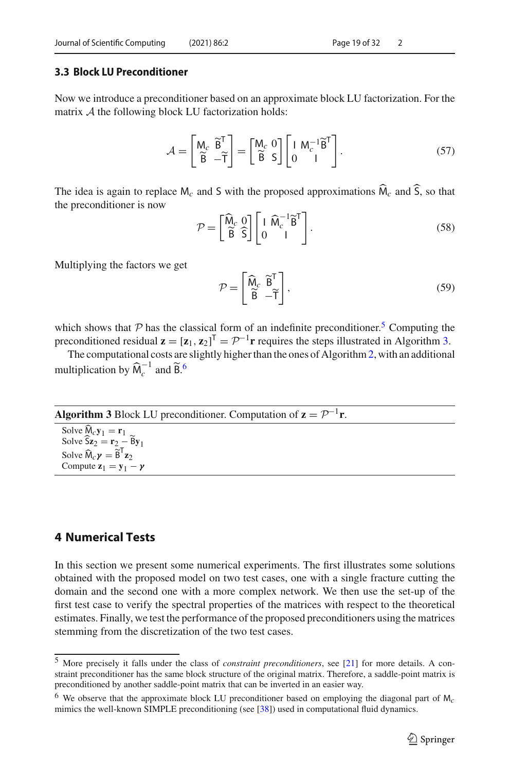Now we introduce a preconditioner based on an approximate block LU factorization. For the matrix *A* the following block LU factorization holds:

$$
\mathcal{A} = \begin{bmatrix} M_c & \widetilde{B}^T \\ \widetilde{B} & -\widetilde{T} \end{bmatrix} = \begin{bmatrix} M_c & 0 \\ \widetilde{B} & S \end{bmatrix} \begin{bmatrix} I & M_c^{-1} \widetilde{B}^T \\ 0 & I \end{bmatrix}.
$$
 (57)

The idea is again to replace  $M_c$  and S with the proposed approximations  $\widehat{M}_c$  and  $\widehat{S}$ , so that the preconditioner is now

$$
\mathcal{P} = \begin{bmatrix} \widehat{\mathsf{M}}_c & 0\\ \widetilde{\mathsf{B}} & \widehat{\mathsf{S}} \end{bmatrix} \begin{bmatrix} \mathsf{I} & \widehat{\mathsf{M}}_c^{-1} \widetilde{\mathsf{B}}^{\mathsf{T}}\\ 0 & \mathsf{I} \end{bmatrix} . \tag{58}
$$

Multiplying the factors we get

$$
\mathcal{P} = \begin{bmatrix} \widehat{\mathbf{M}}_c & \widetilde{\mathbf{B}}^{\mathsf{T}} \\ \widetilde{\mathbf{B}} & -\widetilde{\mathsf{T}} \end{bmatrix},\tag{59}
$$

which shows that  $P$  has the classical form of an indefinite preconditioner.<sup>[5](#page-18-1)</sup> Computing the preconditioned residual  $\mathbf{z} = [\mathbf{z}_1, \mathbf{z}_2]^\mathsf{T} = \mathcal{P}^{-1}\mathbf{r}$  requires the steps illustrated in Algorithm [3.](#page-18-2)

The computational costs are slightly higher than the ones of Algorithm [2,](#page-17-1) with an additional multiplication by  $\widehat{M}_c^{-1}$  and  $\widetilde{B}_c$ .<sup>[6](#page-18-3)</sup>

<span id="page-18-2"></span>

|  | <b>Algorithm 3</b> Block LU preconditioner. Computation of $z = \mathcal{P}^{-1}r$ . |  |
|--|--------------------------------------------------------------------------------------|--|
|  |                                                                                      |  |

Solve  $\widehat{M}_c y_1 = \mathbf{r}_1$ Solve  $\widehat{S}z_2 = \mathbf{r}_2 - \widetilde{B}\mathbf{y}_1$ Solve  $\widehat{M}_c \gamma = \widetilde{B}^T z_2$ Compute  $z_1 = y_1 - \gamma$ 

# <span id="page-18-0"></span>**4 Numerical Tests**

In this section we present some numerical experiments. The first illustrates some solutions obtained with the proposed model on two test cases, one with a single fracture cutting the domain and the second one with a more complex network. We then use the set-up of the first test case to verify the spectral properties of the matrices with respect to the theoretical estimates. Finally, we test the performance of the proposed preconditioners using the matrices stemming from the discretization of the two test cases.

<span id="page-18-1"></span><sup>5</sup> More precisely it falls under the class of *constraint preconditioners*, see [\[21\]](#page-30-21) for more details. A constraint preconditioner has the same block structure of the original matrix. Therefore, a saddle-point matrix is preconditioned by another saddle-point matrix that can be inverted in an easier way.

<span id="page-18-3"></span><sup>&</sup>lt;sup>6</sup> We observe that the approximate block LU preconditioner based on employing the diagonal part of  $M_c$ mimics the well-known SIMPLE preconditioning (see [\[38\]](#page-30-22)) used in computational fluid dynamics.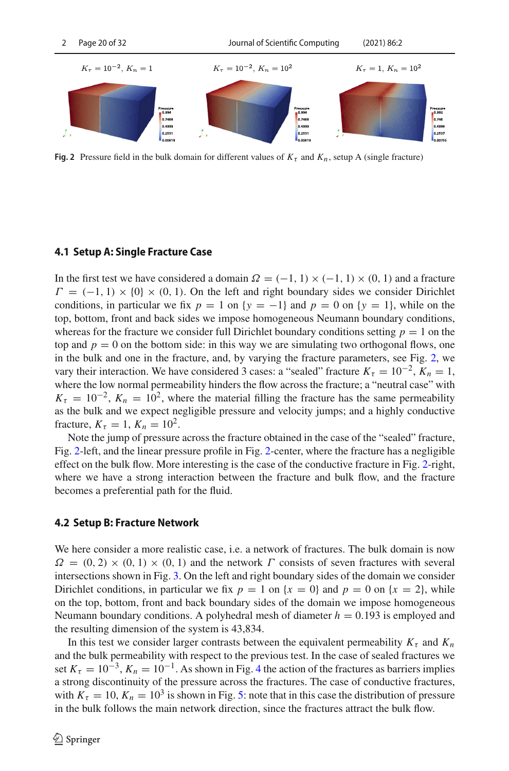

<span id="page-19-0"></span>**Fig. 2** Pressure field in the bulk domain for different values of  $K<sub>\tau</sub>$  and  $K<sub>n</sub>$ , setup A (single fracture)

### <span id="page-19-1"></span>**4.1 Setup A: Single Fracture Case**

In the first test we have considered a domain  $\Omega = (-1, 1) \times (-1, 1) \times (0, 1)$  and a fracture  $\Gamma = (-1, 1) \times \{0\} \times (0, 1)$ . On the left and right boundary sides we consider Dirichlet conditions, in particular we fix  $p = 1$  on  $\{y = -1\}$  and  $p = 0$  on  $\{y = 1\}$ , while on the top, bottom, front and back sides we impose homogeneous Neumann boundary conditions, whereas for the fracture we consider full Dirichlet boundary conditions setting  $p = 1$  on the top and  $p = 0$  on the bottom side: in this way we are simulating two orthogonal flows, one in the bulk and one in the fracture, and, by varying the fracture parameters, see Fig. [2,](#page-19-0) we vary their interaction. We have considered 3 cases: a "sealed" fracture  $K_{\tau} = 10^{-2}$ ,  $K_n = 1$ , where the low normal permeability hinders the flow across the fracture; a "neutral case" with  $K_{\tau} = 10^{-2}$ ,  $K_n = 10^2$ , where the material filling the fracture has the same permeability as the bulk and we expect negligible pressure and velocity jumps; and a highly conductive fracture,  $K_{\tau} = 1, K_n = 10^2$ .

Note the jump of pressure across the fracture obtained in the case of the "sealed" fracture, Fig. [2-](#page-19-0)left, and the linear pressure profile in Fig. [2-](#page-19-0)center, where the fracture has a negligible effect on the bulk flow. More interesting is the case of the conductive fracture in Fig. [2-](#page-19-0)right, where we have a strong interaction between the fracture and bulk flow, and the fracture becomes a preferential path for the fluid.

### <span id="page-19-2"></span>**4.2 Setup B: Fracture Network**

We here consider a more realistic case, i.e. a network of fractures. The bulk domain is now  $\Omega = (0, 2) \times (0, 1) \times (0, 1)$  and the network Γ consists of seven fractures with several intersections shown in Fig. [3.](#page-20-1) On the left and right boundary sides of the domain we consider Dirichlet conditions, in particular we fix  $p = 1$  on  $\{x = 0\}$  and  $p = 0$  on  $\{x = 2\}$ , while on the top, bottom, front and back boundary sides of the domain we impose homogeneous Neumann boundary conditions. A polyhedral mesh of diameter *h* = 0.193 is employed and the resulting dimension of the system is 43,834.

In this test we consider larger contrasts between the equivalent permeability  $K<sub>\tau</sub>$  and  $K<sub>n</sub>$ and the bulk permeability with respect to the previous test. In the case of sealed fractures we set  $K_{\tau} = 10^{-3}$ ,  $K_n = 10^{-1}$ . As shown in Fig. [4](#page-20-2) the action of the fractures as barriers implies a strong discontinuity of the pressure across the fractures. The case of conductive fractures, with  $K_{\tau} = 10$ ,  $K_n = 10^3$  is shown in Fig. [5:](#page-20-3) note that in this case the distribution of pressure in the bulk follows the main network direction, since the fractures attract the bulk flow.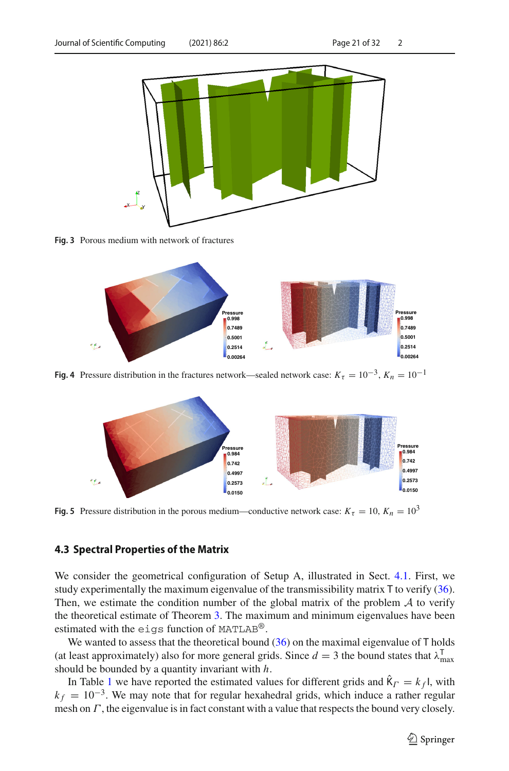

<span id="page-20-1"></span>**Fig. 3** Porous medium with network of fractures



<span id="page-20-2"></span>**Fig. 4** Pressure distribution in the fractures network—sealed network case:  $K_{\tau} = 10^{-3}$ ,  $K_n = 10^{-1}$ 



<span id="page-20-3"></span>**Fig. 5** Pressure distribution in the porous medium—conductive network case:  $K_{\tau} = 10$ ,  $K_n = 10^3$ 

### <span id="page-20-0"></span>**4.3 Spectral Properties of the Matrix**

We consider the geometrical configuration of Setup A, illustrated in Sect. [4.1.](#page-19-1) First, we study experimentally the maximum eigenvalue of the transmissibility matrix  $\mathsf T$  to verify [\(36\)](#page-13-2). Then, we estimate the condition number of the global matrix of the problem  $A$  to verify the theoretical estimate of Theorem [3.](#page-14-4) The maximum and minimum eigenvalues have been estimated with the eigs function of MATLAB<sup>®</sup>.

We wanted to assess that the theoretical bound  $(36)$  on the maximal eigenvalue of T holds (at least approximately) also for more general grids. Since  $d = 3$  the bound states that  $\lambda_{\text{max}}^T$ should be bounded by a quantity invariant with *h*.

In Table [1](#page-21-0) we have reported the estimated values for different grids and  $\hat{K}_{\Gamma} = k_f I$ , with  $k_f = 10^{-3}$ . We may note that for regular hexahedral grids, which induce a rather regular mesh on  $\Gamma$ , the eigenvalue is in fact constant with a value that respects the bound very closely.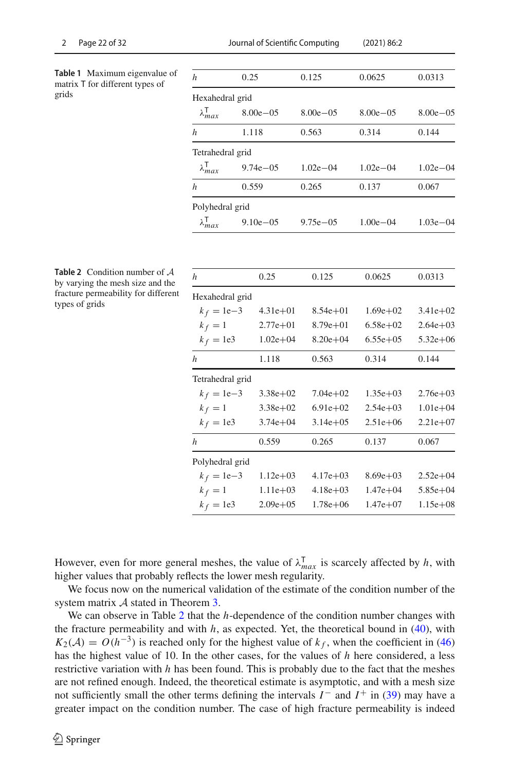2 Page 22 of 32 Journal of Scientific Computing (2021) 86:2

<span id="page-21-0"></span>

|       | <b>Table 1</b> Maximum eigenvalue of |
|-------|--------------------------------------|
|       | matrix T for different types of      |
| grids |                                      |

| h                            | 0.25          | 0.125         | 0.0625        | 0.0313        |
|------------------------------|---------------|---------------|---------------|---------------|
| Hexahedral grid              |               |               |               |               |
| $\lambda_{max}^{\mathsf{T}}$ | $8.00e - 05$  | $8.00e - 0.5$ | $8.00e - 0.5$ | $8.00e - 0.5$ |
| $\boldsymbol{h}$             | 1.118         | 0.563         | 0.314         | 0.144         |
| Tetrahedral grid             |               |               |               |               |
| $\lambda_{max}^{\mathsf{T}}$ | $9.74e - 0.5$ | $1.02e - 04$  | $1.02e - 04$  | $1.02e - 04$  |
| $\boldsymbol{h}$             | 0.559         | 0.265         | 0.137         | 0.067         |
| Polyhedral grid              |               |               |               |               |
| $\lambda_{max}^{\mathsf{T}}$ | $9.10e - 0.5$ | $9.75e - 0.5$ | $1.00e - 04$  | $1.03e - 04$  |

<span id="page-21-1"></span>

|                | <b>Table 2</b> Condition number of $A$ |
|----------------|----------------------------------------|
|                | by varying the mesh size and the       |
|                | fracture permeability for different    |
| types of grids |                                        |

| h                | 0.25         | 0.125        | 0.0625       | 0.0313       |
|------------------|--------------|--------------|--------------|--------------|
| Hexahedral grid  |              |              |              |              |
| $k_f = 1e-3$     | $4.31e + 01$ | $8.54e + 01$ | $1.69e + 02$ | $3.41e + 02$ |
| $k_f=1$          | $2.77e + 01$ | $8.79e + 01$ | $6.58e + 02$ | $2.64e + 03$ |
| $k_f = 1e3$      | $1.02e + 04$ | $8.20e + 04$ | $6.55e+0.5$  | $5.32e + 06$ |
| $\boldsymbol{h}$ | 1.118        | 0.563        | 0.314        | 0.144        |
| Tetrahedral grid |              |              |              |              |
| $k_f = 1e-3$     | $3.38e + 02$ | $7.04e + 02$ | $1.35e+03$   | $2.76e + 03$ |
| $k_f = 1$        | $3.38e + 02$ | $6.91e+02$   | $2.54e + 03$ | $1.01e + 04$ |
| $k_f = 1e3$      | $3.74e + 04$ | $3.14e + 05$ | $2.51e+06$   | $2.21e+07$   |
| h                | 0.559        | 0.265        | 0.137        | 0.067        |
| Polyhedral grid  |              |              |              |              |
| $k_f = 1e-3$     | $1.12e + 03$ | $4.17e + 03$ | $8.69e + 03$ | $2.52e + 04$ |
| $k_f = 1$        | $1.11e + 03$ | $4.18e + 03$ | $1.47e + 04$ | $5.85e + 04$ |
| $k_f = 1e3$      | $2.09e + 05$ | $1.78e + 06$ | $1.47e + 07$ | $1.15e + 08$ |

However, even for more general meshes, the value of  $\lambda_{max}^T$  is scarcely affected by *h*, with higher values that probably reflects the lower mesh regularity.

We focus now on the numerical validation of the estimate of the condition number of the system matrix *A* stated in Theorem [3.](#page-14-4)

We can observe in Table [2](#page-21-1) that the *h*-dependence of the condition number changes with the fracture permeability and with *h*, as expected. Yet, the theoretical bound in [\(40\)](#page-14-3), with  $K_2(\mathcal{A}) = O(h^{-3})$  is reached only for the highest value of  $k_f$ , when the coefficient in [\(46\)](#page-15-3) has the highest value of 10. In the other cases, for the values of *h* here considered, a less restrictive variation with *h* has been found. This is probably due to the fact that the meshes are not refined enough. Indeed, the theoretical estimate is asymptotic, and with a mesh size not sufficiently small the other terms defining the intervals  $I^-$  and  $I^+$  in [\(39\)](#page-14-2) may have a greater impact on the condition number. The case of high fracture permeability is indeed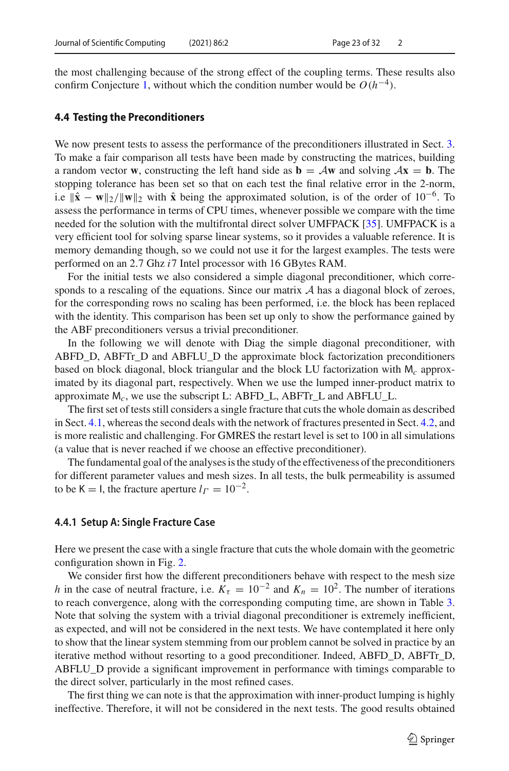the most challenging because of the strong effect of the coupling terms. These results also confirm Conjecture [1,](#page-13-1) without which the condition number would be  $O(h^{-4})$ .

#### **4.4 Testing the Preconditioners**

We now present tests to assess the performance of the preconditioners illustrated in Sect. [3.](#page-16-0) To make a fair comparison all tests have been made by constructing the matrices, building a random vector **w**, constructing the left hand side as  $\mathbf{b} = A\mathbf{w}$  and solving  $A\mathbf{x} = \mathbf{b}$ . The stopping tolerance has been set so that on each test the final relative error in the 2-norm, i.e  $\|\hat{\mathbf{x}} - \mathbf{w}\|_2 / \|\mathbf{w}\|_2$  with  $\hat{\mathbf{x}}$  being the approximated solution, is of the order of 10<sup>-6</sup>. To assess the performance in terms of CPU times, whenever possible we compare with the time needed for the solution with the multifrontal direct solver UMFPACK [\[35\]](#page-30-24). UMFPACK is a very efficient tool for solving sparse linear systems, so it provides a valuable reference. It is memory demanding though, so we could not use it for the largest examples. The tests were performed on an 2.7 Ghz *i*7 Intel processor with 16 GBytes RAM.

For the initial tests we also considered a simple diagonal preconditioner, which corresponds to a rescaling of the equations. Since our matrix *A* has a diagonal block of zeroes, for the corresponding rows no scaling has been performed, i.e. the block has been replaced with the identity. This comparison has been set up only to show the performance gained by the ABF preconditioners versus a trivial preconditioner.

In the following we will denote with Diag the simple diagonal preconditioner, with ABFD\_D, ABFTr\_D and ABFLU\_D the approximate block factorization preconditioners based on block diagonal, block triangular and the block LU factorization with M*<sup>c</sup>* approximated by its diagonal part, respectively. When we use the lumped inner-product matrix to approximate M*c*, we use the subscript L: ABFD\_L, ABFTr\_L and ABFLU\_L.

The first set of tests still considers a single fracture that cuts the whole domain as described in Sect. [4.1,](#page-19-1) whereas the second deals with the network of fractures presented in Sect. [4.2,](#page-19-2) and is more realistic and challenging. For GMRES the restart level is set to 100 in all simulations (a value that is never reached if we choose an effective preconditioner).

The fundamental goal of the analyses is the study of the effectiveness of the preconditioners for different parameter values and mesh sizes. In all tests, the bulk permeability is assumed to be K = I, the fracture aperture  $l_F = 10^{-2}$ .

### **4.4.1 Setup A: Single Fracture Case**

Here we present the case with a single fracture that cuts the whole domain with the geometric configuration shown in Fig. [2.](#page-19-0)

We consider first how the different preconditioners behave with respect to the mesh size *h* in the case of neutral fracture, i.e.  $K_{\tau} = 10^{-2}$  and  $K_n = 10^2$ . The number of iterations to reach convergence, along with the corresponding computing time, are shown in Table [3.](#page-23-0) Note that solving the system with a trivial diagonal preconditioner is extremely inefficient, as expected, and will not be considered in the next tests. We have contemplated it here only to show that the linear system stemming from our problem cannot be solved in practice by an iterative method without resorting to a good preconditioner. Indeed, ABFD\_D, ABFTr\_D, ABFLU\_D provide a significant improvement in performance with timings comparable to the direct solver, particularly in the most refined cases.

The first thing we can note is that the approximation with inner-product lumping is highly ineffective. Therefore, it will not be considered in the next tests. The good results obtained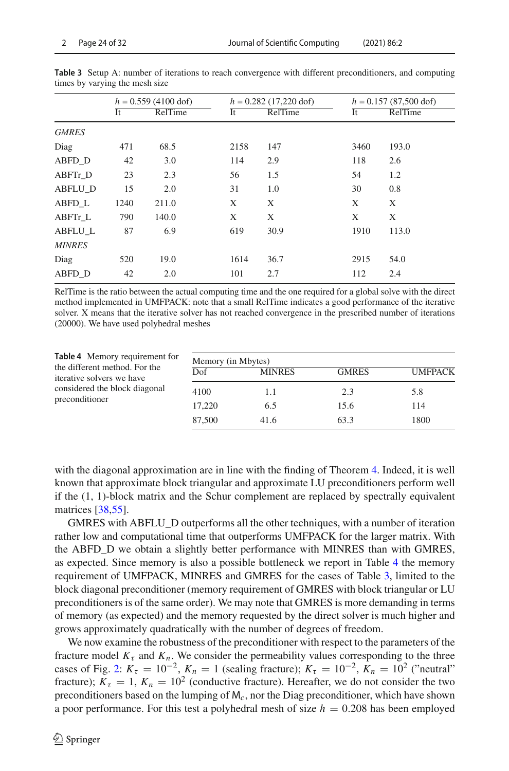|                | $h = 0.559$ (4100 dof) |         |      | $h = 0.282$ (17,220 dof) |      | $h = 0.157(87,500 \text{ dof})$ |  |  |
|----------------|------------------------|---------|------|--------------------------|------|---------------------------------|--|--|
|                | It                     | RelTime | It   | RelTime                  | It   | RelTime                         |  |  |
| <b>GMRES</b>   |                        |         |      |                          |      |                                 |  |  |
| Diag           | 471                    | 68.5    | 2158 | 147                      | 3460 | 193.0                           |  |  |
| ABFD D         | 42                     | 3.0     | 114  | 2.9                      | 118  | 2.6                             |  |  |
| ABFTr D        | 23                     | 2.3     | 56   | 1.5                      | 54   | 1.2                             |  |  |
| <b>ABFLU D</b> | 15                     | 2.0     | 31   | 1.0                      | 30   | 0.8                             |  |  |
| ABFD L         | 1240                   | 211.0   | X    | X                        | X    | X                               |  |  |
| ABFTr L        | 790                    | 140.0   | X    | X                        | Χ    | X                               |  |  |
| ABFLU L        | 87                     | 6.9     | 619  | 30.9                     | 1910 | 113.0                           |  |  |
| <b>MINRES</b>  |                        |         |      |                          |      |                                 |  |  |
| Diag           | 520                    | 19.0    | 1614 | 36.7                     | 2915 | 54.0                            |  |  |
| ABFD D         | 42                     | 2.0     | 101  | 2.7                      | 112  | 2.4                             |  |  |

<span id="page-23-0"></span>**Table 3** Setup A: number of iterations to reach convergence with different preconditioners, and computing times by varying the mesh size

RelTime is the ratio between the actual computing time and the one required for a global solve with the direct method implemented in UMFPACK: note that a small RelTime indicates a good performance of the iterative solver. X means that the iterative solver has not reached convergence in the prescribed number of iterations (20000). We have used polyhedral meshes

<span id="page-23-1"></span>

| Memory (in Mbytes) |               |              |                |  |  |  |
|--------------------|---------------|--------------|----------------|--|--|--|
| Dof                | <b>MINRES</b> | <b>GMRES</b> | <b>UMFPACK</b> |  |  |  |
| 4100               | 1.1           | 2.3          | 5.8            |  |  |  |
| 17.220             | 6.5           | 15.6         | 114            |  |  |  |
| 87,500             | 41.6          | 63.3         | 1800           |  |  |  |
|                    |               |              |                |  |  |  |

with the diagonal approximation are in line with the finding of Theorem [4.](#page-15-2) Indeed, it is well known that approximate block triangular and approximate LU preconditioners perform well if the (1, 1)-block matrix and the Schur complement are replaced by spectrally equivalent matrices [\[38](#page-30-22)[,55](#page-31-10)].

GMRES with ABFLU\_D outperforms all the other techniques, with a number of iteration rather low and computational time that outperforms UMFPACK for the larger matrix. With the ABFD\_D we obtain a slightly better performance with MINRES than with GMRES, as expected. Since memory is also a possible bottleneck we report in Table [4](#page-23-1) the memory requirement of UMFPACK, MINRES and GMRES for the cases of Table [3,](#page-23-0) limited to the block diagonal preconditioner (memory requirement of GMRES with block triangular or LU preconditioners is of the same order). We may note that GMRES is more demanding in terms of memory (as expected) and the memory requested by the direct solver is much higher and grows approximately quadratically with the number of degrees of freedom.

We now examine the robustness of the preconditioner with respect to the parameters of the fracture model  $K_{\tau}$  and  $K_n$ . We consider the permeability values corresponding to the three cases of Fig. [2:](#page-19-0)  $K_{\tau} = 10^{-2}$ ,  $K_n = 1$  (sealing fracture);  $K_{\tau} = 10^{-2}$ ,  $K_n = 10^2$  ("neutral" fracture);  $K_{\tau} = 1$ ,  $K_n = 10^2$  (conductive fracture). Hereafter, we do not consider the two preconditioners based on the lumping of M*c*, nor the Diag preconditioner, which have shown a poor performance. For this test a polyhedral mesh of size  $h = 0.208$  has been employed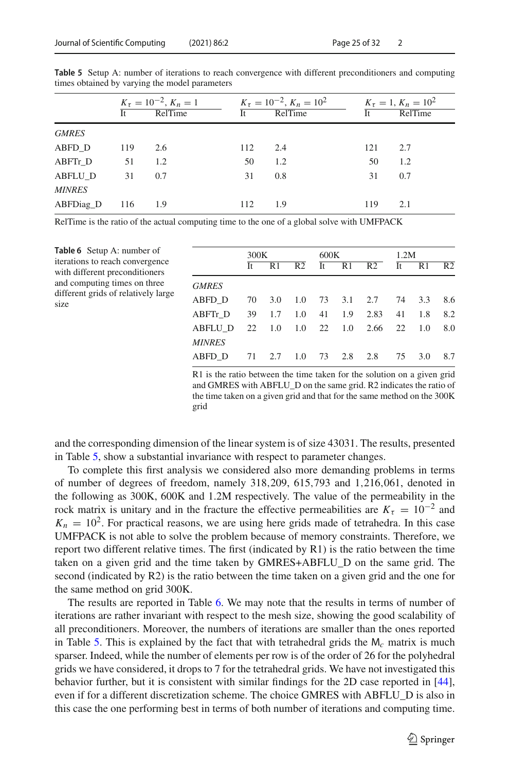|               | $K_{\tau} = 10^{-2}$ , $K_n = 1$ |         |     | $K_{\tau} = 10^{-2}$ , $K_n = 10^2$ $K_{\tau} = 1$ , $K_n = 10^2$ |     |         |  |
|---------------|----------------------------------|---------|-----|-------------------------------------------------------------------|-----|---------|--|
|               | Tt.                              | RelTime | It  | RelTime                                                           | It  | RelTime |  |
| <b>GMRES</b>  |                                  |         |     |                                                                   |     |         |  |
| ABFD D        | 119                              | 2.6     | 112 | 2.4                                                               | 121 | 2.7     |  |
| ABFTr D       | 51                               | 1.2     | 50  | 1.2                                                               | 50  | 1.2     |  |
| ABFLU D       | 31                               | 0.7     | 31  | 0.8                                                               | 31  | 0.7     |  |
| <b>MINRES</b> |                                  |         |     |                                                                   |     |         |  |
| ABFDiag_D     | 116                              | 1.9     | 112 | 1.9                                                               | 119 | 2.1     |  |

<span id="page-24-0"></span>**Table 5** Setup A: number of iterations to reach convergence with different preconditioners and computing times obtained by varying the model parameters

RelTime is the ratio of the actual computing time to the one of a global solve with UMFPACK

<span id="page-24-1"></span>

| <b>Table 6</b> Setup A: number of<br>iterations to reach convergence                                          |                                                               | 300K<br>-It    | R <sub>1</sub>    | R <sub>2</sub>    | 600K<br>It.    | R1                | R <sub>2</sub>      | 1.2M<br>-lt    | R <sub>1</sub>    | R <sub>2</sub>    |
|---------------------------------------------------------------------------------------------------------------|---------------------------------------------------------------|----------------|-------------------|-------------------|----------------|-------------------|---------------------|----------------|-------------------|-------------------|
| with different preconditioners<br>and computing times on three<br>different grids of relatively large<br>size | <b>GMRES</b><br>ABFD D<br>ABFTr D<br>ABFLU D<br><b>MINRES</b> | 70<br>39<br>22 | 3.0<br>1.7<br>1.0 | 1.0<br>1.0<br>1.0 | 73<br>41<br>22 | 3.1<br>1.9<br>1.0 | 2.7<br>2.83<br>2.66 | 74<br>41<br>22 | 3.3<br>1.8<br>1.0 | 8.6<br>8.2<br>8.0 |
|                                                                                                               | ABFD D                                                        | 71             | 2.7               | 1.0               | 73             | 2.8               | 2.8                 | 75             | 3.0               | 8.7               |

R1 is the ratio between the time taken for the solution on a given grid and GMRES with ABFLU\_D on the same grid. R2 indicates the ratio of the time taken on a given grid and that for the same method on the 300K grid

and the corresponding dimension of the linear system is of size 43031. The results, presented in Table [5,](#page-24-0) show a substantial invariance with respect to parameter changes.

To complete this first analysis we considered also more demanding problems in terms of number of degrees of freedom, namely 318,209, 615,793 and 1,216,061, denoted in the following as 300K, 600K and 1.2M respectively. The value of the permeability in the rock matrix is unitary and in the fracture the effective permeabilities are  $K<sub>\tau</sub> = 10^{-2}$  and  $K_n = 10^2$ . For practical reasons, we are using here grids made of tetrahedra. In this case UMFPACK is not able to solve the problem because of memory constraints. Therefore, we report two different relative times. The first (indicated by R1) is the ratio between the time taken on a given grid and the time taken by GMRES+ABFLU\_D on the same grid. The second (indicated by R2) is the ratio between the time taken on a given grid and the one for the same method on grid 300K.

The results are reported in Table [6.](#page-24-1) We may note that the results in terms of number of iterations are rather invariant with respect to the mesh size, showing the good scalability of all preconditioners. Moreover, the numbers of iterations are smaller than the ones reported in Table [5.](#page-24-0) This is explained by the fact that with tetrahedral grids the  $M_c$  matrix is much sparser. Indeed, while the number of elements per row is of the order of 26 for the polyhedral grids we have considered, it drops to 7 for the tetrahedral grids. We have not investigated this behavior further, but it is consistent with similar findings for the 2D case reported in [\[44\]](#page-31-15), even if for a different discretization scheme. The choice GMRES with ABFLU\_D is also in this case the one performing best in terms of both number of iterations and computing time.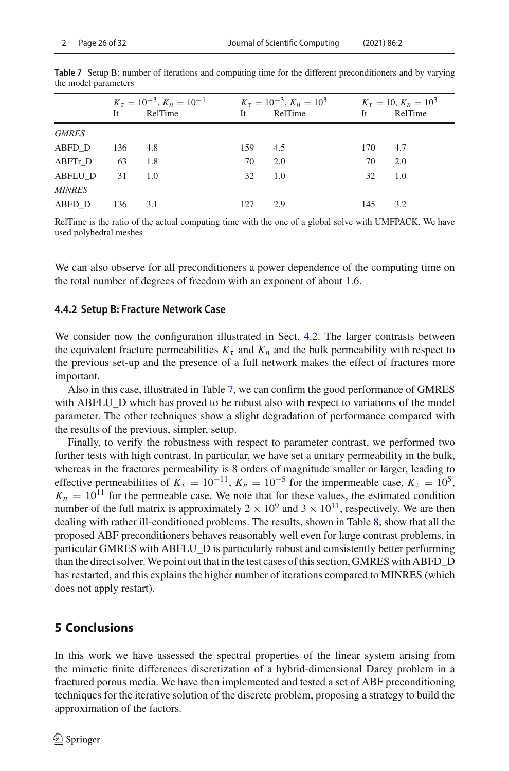|               | It. | $K_{\tau} = 10^{-3}, K_n = 10^{-1}$<br>RelTime | <b>It</b> | $K_{\tau} = 10^{-3}$ , $K_n = 10^3$ $K_{\tau} = 10$ , $K_n = 10^3$<br>RelTime | Tt. | RelTime |
|---------------|-----|------------------------------------------------|-----------|-------------------------------------------------------------------------------|-----|---------|
| <b>GMRES</b>  |     |                                                |           |                                                                               |     |         |
| ABFD D        | 136 | 4.8                                            | 159       | 4.5                                                                           | 170 | 4.7     |
| ABFTr D       | 63  | 1.8                                            | 70        | 2.0                                                                           | 70  | 2.0     |
| ABFLU D       | 31  | 1.0                                            | 32        | 1.0                                                                           | 32  | 1.0     |
| <b>MINRES</b> |     |                                                |           |                                                                               |     |         |
| ABFD D        | 136 | 3.1                                            | 127       | 2.9                                                                           | 145 | 3.2     |

<span id="page-25-1"></span>**Table 7** Setup B: number of iterations and computing time for the different preconditioners and by varying the model parameters

RelTime is the ratio of the actual computing time with the one of a global solve with UMFPACK. We have used polyhedral meshes

We can also observe for all preconditioners a power dependence of the computing time on the total number of degrees of freedom with an exponent of about 1.6.

#### **4.4.2 Setup B: Fracture Network Case**

We consider now the configuration illustrated in Sect. [4.2.](#page-19-2) The larger contrasts between the equivalent fracture permeabilities  $K<sub>τ</sub>$  and  $K<sub>n</sub>$  and the bulk permeability with respect to the previous set-up and the presence of a full network makes the effect of fractures more important.

Also in this case, illustrated in Table [7,](#page-25-1) we can confirm the good performance of GMRES with ABFLU\_D which has proved to be robust also with respect to variations of the model parameter. The other techniques show a slight degradation of performance compared with the results of the previous, simpler, setup.

Finally, to verify the robustness with respect to parameter contrast, we performed two further tests with high contrast. In particular, we have set a unitary permeability in the bulk, whereas in the fractures permeability is 8 orders of magnitude smaller or larger, leading to effective permeabilities of  $K_{\tau} = 10^{-11}$ ,  $K_n = 10^{-5}$  for the impermeable case,  $K_{\tau} = 10^{5}$ ,  $K_n = 10^{11}$  for the permeable case. We note that for these values, the estimated condition number of the full matrix is approximately  $2 \times 10^9$  and  $3 \times 10^{11}$ , respectively. We are then dealing with rather ill-conditioned problems. The results, shown in Table [8,](#page-26-0) show that all the proposed ABF preconditioners behaves reasonably well even for large contrast problems, in particular GMRES with ABFLU\_D is particularly robust and consistently better performing than the direct solver.We point out that in the test cases of this section, GMRES with ABFD\_D has restarted, and this explains the higher number of iterations compared to MINRES (which does not apply restart).

### <span id="page-25-0"></span>**5 Conclusions**

In this work we have assessed the spectral properties of the linear system arising from the mimetic finite differences discretization of a hybrid-dimensional Darcy problem in a fractured porous media. We have then implemented and tested a set of ABF preconditioning techniques for the iterative solution of the discrete problem, proposing a strategy to build the approximation of the factors.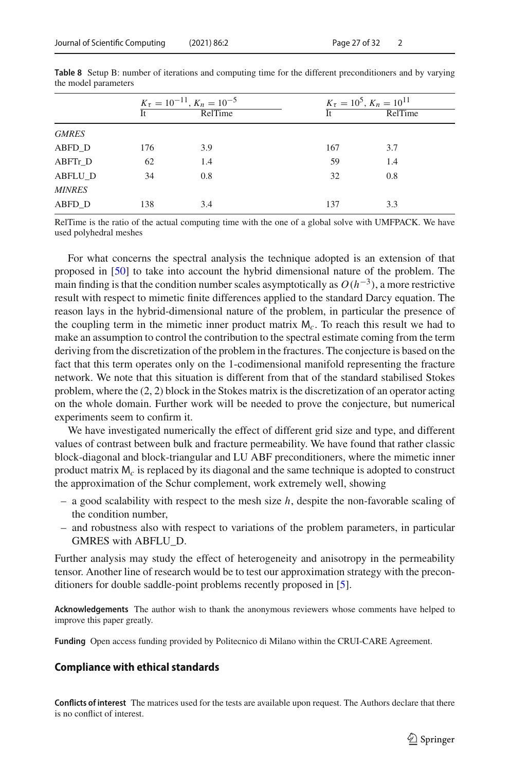|               | $K_{\tau} = 10^{-11}, K_n = 10^{-5}$ |         | $K_{\tau} = 10^5$ , $K_n = 10^{11}$ |         |  |
|---------------|--------------------------------------|---------|-------------------------------------|---------|--|
|               | Tt.                                  | RelTime | It.                                 | RelTime |  |
| <b>GMRES</b>  |                                      |         |                                     |         |  |
| ABFD_D        | 176                                  | 3.9     | 167                                 | 3.7     |  |
| ABFTr D       | 62                                   | 1.4     | 59                                  | 1.4     |  |
| ABFLU D       | 34                                   | 0.8     | 32                                  | 0.8     |  |
| <b>MINRES</b> |                                      |         |                                     |         |  |
| ABFD D        | 138                                  | 3.4     | 137                                 | 3.3     |  |

<span id="page-26-0"></span>**Table 8** Setup B: number of iterations and computing time for the different preconditioners and by varying the model parameters

RelTime is the ratio of the actual computing time with the one of a global solve with UMFPACK. We have used polyhedral meshes

For what concerns the spectral analysis the technique adopted is an extension of that proposed in [\[50\]](#page-31-4) to take into account the hybrid dimensional nature of the problem. The main finding is that the condition number scales asymptotically as  $O(h^{-3})$ , a more restrictive result with respect to mimetic finite differences applied to the standard Darcy equation. The reason lays in the hybrid-dimensional nature of the problem, in particular the presence of the coupling term in the mimetic inner product matrix M*c*. To reach this result we had to make an assumption to control the contribution to the spectral estimate coming from the term deriving from the discretization of the problem in the fractures. The conjecture is based on the fact that this term operates only on the 1-codimensional manifold representing the fracture network. We note that this situation is different from that of the standard stabilised Stokes problem, where the (2, 2) block in the Stokes matrix is the discretization of an operator acting on the whole domain. Further work will be needed to prove the conjecture, but numerical experiments seem to confirm it.

We have investigated numerically the effect of different grid size and type, and different values of contrast between bulk and fracture permeability. We have found that rather classic block-diagonal and block-triangular and LU ABF preconditioners, where the mimetic inner product matrix M*<sup>c</sup>* is replaced by its diagonal and the same technique is adopted to construct the approximation of the Schur complement, work extremely well, showing

- a good scalability with respect to the mesh size *h*, despite the non-favorable scaling of the condition number,
- and robustness also with respect to variations of the problem parameters, in particular GMRES with ABFLU\_D.

Further analysis may study the effect of heterogeneity and anisotropy in the permeability tensor. Another line of research would be to test our approximation strategy with the preconditioners for double saddle-point problems recently proposed in [\[5](#page-29-15)].

**Acknowledgements** The author wish to thank the anonymous reviewers whose comments have helped to improve this paper greatly.

**Funding** Open access funding provided by Politecnico di Milano within the CRUI-CARE Agreement.

### **Compliance with ethical standards**

**Conflicts of interest** The matrices used for the tests are available upon request. The Authors declare that there is no conflict of interest.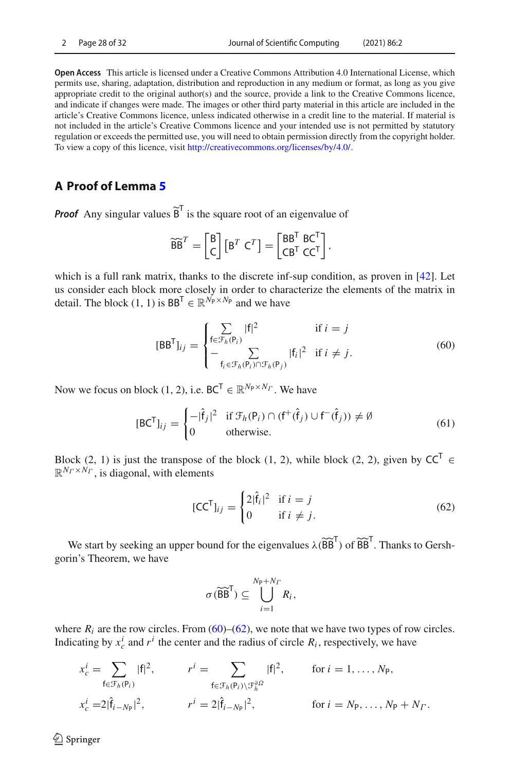**Open Access** This article is licensed under a Creative Commons Attribution 4.0 International License, which permits use, sharing, adaptation, distribution and reproduction in any medium or format, as long as you give appropriate credit to the original author(s) and the source, provide a link to the Creative Commons licence, and indicate if changes were made. The images or other third party material in this article are included in the article's Creative Commons licence, unless indicated otherwise in a credit line to the material. If material is not included in the article's Creative Commons licence and your intended use is not permitted by statutory regulation or exceeds the permitted use, you will need to obtain permission directly from the copyright holder. To view a copy of this licence, visit [http://creativecommons.org/licenses/by/4.0/.](http://creativecommons.org/licenses/by/4.0/)

### **A Proof of Lemma [5](#page-13-4)**

*Proof* Any singular values  $\tilde{B}^T$  is the square root of an eigenvalue of

$$
\widetilde{\mathsf{BB}}^T = \begin{bmatrix} \mathsf{B} \\ \mathsf{C} \end{bmatrix} \begin{bmatrix} \mathsf{B}^T & \mathsf{C}^T \end{bmatrix} = \begin{bmatrix} \mathsf{BB}^{\mathsf{T}} & \mathsf{BC}^{\mathsf{T}} \\ \mathsf{CB}^{\mathsf{T}} & \mathsf{CC}^{\mathsf{T}} \end{bmatrix},
$$

which is a full rank matrix, thanks to the discrete inf-sup condition, as proven in [\[42](#page-30-10)]. Let us consider each block more closely in order to characterize the elements of the matrix in detail. The block (1, 1) is  $BB^{\mathsf{T}} \in \mathbb{R}^{\mathbb{N}_p \times \mathbb{N}_p}$  and we have

<span id="page-27-0"></span>
$$
[BBT]_{ij} = \begin{cases} \sum_{f \in \mathcal{F}_h(P_i)} |f|^2 & \text{if } i = j\\ -\sum_{f_i \in \mathcal{F}_h(P_i) \cap \mathcal{F}_h(P_j)} |f_i|^2 & \text{if } i \neq j. \end{cases}
$$
(60)

Now we focus on block (1, 2), i.e.  $BC^{T} \in \mathbb{R}^{N_P \times N_T}$ . We have

$$
[BCT]_{ij} = \begin{cases} -|\hat{f}_j|^2 & \text{if } \mathcal{F}_h(P_i) \cap (f^+(\hat{f}_j) \cup f^-(\hat{f}_j)) \neq \emptyset \\ 0 & \text{otherwise.} \end{cases}
$$
(61)

Block (2, 1) is just the transpose of the block (1, 2), while block (2, 2), given by  $CC^{T} \in$  $\mathbb{R}^{N_r \times N_r}$ , is diagonal, with elements

<span id="page-27-1"></span>
$$
[CCT]_{ij} = \begin{cases} 2|\hat{f}_i|^2 & \text{if } i = j \\ 0 & \text{if } i \neq j. \end{cases}
$$
 (62)

We start by seeking an upper bound for the eigenvalues  $\lambda(\widetilde{B}\widetilde{B}^T)$  of  $\widetilde{B}\widetilde{B}^T$ . Thanks to Gershgorin's Theorem, we have

$$
\sigma(\widetilde{\mathsf{B}}\widetilde{\mathsf{B}}^{\mathsf{T}})\subseteq\bigcup_{i=1}^{N_{\mathsf{P}}+N_{\mathsf{\Gamma}}}R_i,
$$

where  $R_i$  are the row circles. From  $(60)$ – $(62)$ , we note that we have two types of row circles. Indicating by  $x_c^i$  and  $r^i$  the center and the radius of circle  $R_i$ , respectively, we have

$$
x_c^i = \sum_{\mathbf{f} \in \mathcal{F}_h(\mathsf{P}_i)} |\mathsf{f}|^2, \qquad r^i = \sum_{\mathbf{f} \in \mathcal{F}_h(\mathsf{P}_i) \setminus \mathcal{F}_h^{3\Omega}} |\mathsf{f}|^2, \qquad \text{for } i = 1, \dots, N_{\mathsf{P}},
$$
  

$$
x_c^i = 2|\hat{\mathsf{f}}_{i-N_{\mathsf{P}}}|^2, \qquad r^i = 2|\hat{\mathsf{f}}_{i-N_{\mathsf{P}}}|^2, \qquad \text{for } i = N_{\mathsf{P}}, \dots, N_{\mathsf{P}} + N_{\Gamma}.
$$

 $\circledcirc$  Springer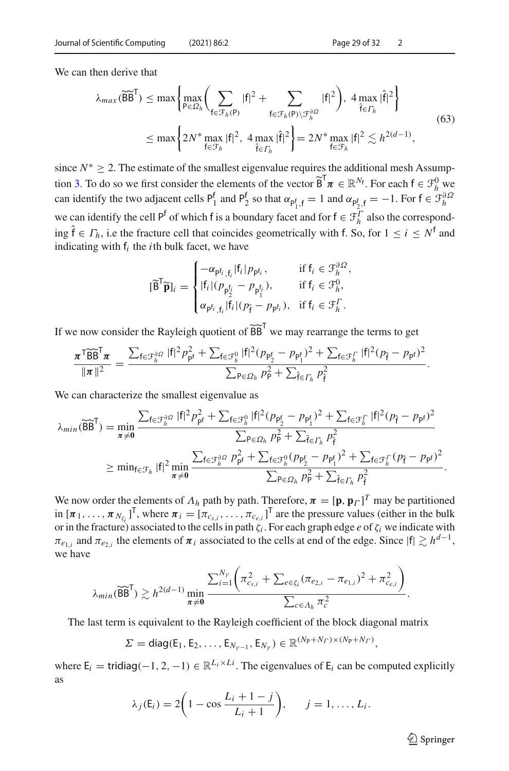We can then derive that

$$
\lambda_{max}(\widetilde{B}\widetilde{B}^{T}) \le \max \left\{ \max_{P \in \mathcal{Q}_{h}} \left( \sum_{f \in \mathcal{F}_{h}(P)} |f|^{2} + \sum_{f \in \mathcal{F}_{h}(P) \setminus \mathcal{F}_{h}^{\partial Q}} |f|^{2} \right), 4 \max_{\hat{f} \in \Gamma_{h}} |\hat{f}|^{2} \right\}
$$
\n
$$
\le \max \left\{ 2N^{*} \max_{f \in \mathcal{F}_{h}} |f|^{2}, 4 \max_{\hat{f} \in \Gamma_{h}} |\hat{f}|^{2} \right\} = 2N^{*} \max_{f \in \mathcal{F}_{h}} |f|^{2} \lesssim h^{2(d-1)},
$$
\n(63)

since  $N^* \geq 2$ . The estimate of the smallest eigenvalue requires the additional mesh Assump-tion [3.](#page-13-0) To do so we first consider the elements of the vector  $\vec{B}^T \pi \in \mathbb{R}^{N_f}$ . For each  $f \in \mathcal{F}_h^0$  we can identify the two adjacent cells  $P_1^f$  and  $P_2^f$  so that  $\alpha_{P_1^f,f} = 1$  and  $\alpha_{P_2^f,f} = -1$ . For  $f \in \mathcal{F}_h^{\partial \Omega}$ we can identify the cell  $P^f$  of which f is a boundary facet and for  $f \in \mathcal{F}_h^{\Gamma}$  also the corresponding  $\hat{\mathbf{f}} \in \Gamma_h$ , i.e the fracture cell that coincides geometrically with f. So, for  $1 \le i \le N^f$  and indicating with f*<sup>i</sup>* the *i*th bulk facet, we have

$$
[\widetilde{\mathbf{B}}^{\mathsf{T}}\widetilde{\mathbf{p}}]_i = \begin{cases}\n-\alpha_{\mathsf{p}^{\mathsf{f}_i},\mathsf{f}_i}|\mathsf{f}_i|p_{\mathsf{p}^{\mathsf{f}_i}}, & \text{if } \mathsf{f}_i \in \mathcal{F}_h^{0.2}, \\
|\mathsf{f}_i|(p_{\mathsf{p}_2^{\mathsf{f}_i}} - p_{\mathsf{p}_1^{\mathsf{f}_i}}), & \text{if } \mathsf{f}_i \in \mathcal{F}_h^0, \\
\alpha_{\mathsf{p}^{\mathsf{f}_i},\mathsf{f}_i}|\mathsf{f}_i|(p_{\hat{\mathsf{f}}} - p_{\mathsf{p}^{\mathsf{f}_i}}), & \text{if } \mathsf{f}_i \in \mathcal{F}_h^{\varGamma}.\n\end{cases}
$$

If we now consider the Rayleigh quotient of  $\widetilde{B} \widetilde{B}^T$  we may rearrange the terms to get

$$
\frac{\pi^{\mathsf{T}}\widetilde{\mathsf{BB}}{}^{\mathsf{T}}\pi}{\|\pi\|^2}=\frac{\sum_{\mathsf{f}\in \mathcal{F}_h^{\partial\Omega}}|\mathsf{f}|^2p_{\mathsf{p}^{\mathsf{f}}}^2+\sum_{\mathsf{f}\in \mathcal{F}_h^0}|\mathsf{f}|^2(p_{\mathsf{P}_2^{\mathsf{f}}}-p_{\mathsf{P}_1^{\mathsf{f}}})^2+\sum_{\mathsf{f}\in \mathcal{F}_h^{\mathsf{f}}}|\mathsf{f}|^2(p_{\mathsf{f}}-p_{\mathsf{P}^{\mathsf{f}}})^2}{\sum_{\mathsf{P}\in \mathcal{\Omega}_h}p_{\mathsf{P}}^2+\sum_{\mathsf{\hat{f}}\in \varGamma_h}p_{\mathsf{\hat{f}}}^2}.
$$

We can characterize the smallest eigenvalue as

$$
\lambda_{min}(\widetilde{B}\widetilde{B}^{T}) = \min_{\pi \neq 0} \frac{\sum_{f \in \mathcal{F}_{h}^{\partial \Omega}} |f|^{2} p_{\mathsf{p}^{f}}^{2} + \sum_{f \in \mathcal{F}_{h}^{0}} |f|^{2} (p_{\mathsf{p}^{f}_{2}} - p_{\mathsf{p}^{f}_{1}})^{2} + \sum_{f \in \mathcal{F}_{h}^{T}} |f|^{2} (p_{\hat{f}} - p_{\mathsf{p}^{f}})^{2}}{\sum_{P \in \Omega_{h}} p_{\mathsf{p}}^{2} + \sum_{\hat{f} \in \Gamma_{h}} p_{\hat{f}}^{2}}
$$
\n
$$
\geq \min_{f \in \mathcal{F}_{h}^{1}} |f|^{2} \min_{\pi \neq 0} \frac{\sum_{f \in \mathcal{F}_{h}^{\partial \Omega}} p_{\mathsf{p}^{f}}^{2} + \sum_{f \in \mathcal{F}_{h}^{0}} (p_{\mathsf{p}^{f}_{2}} - p_{\mathsf{p}^{f}_{1}})^{2} + \sum_{f \in \mathcal{F}_{h}^{T}} (p_{\hat{f}} - p_{\mathsf{p}^{f}})^{2}}{\sum_{P \in \Omega_{h}} p_{\mathsf{p}^{f}}^{2} + \sum_{\hat{f} \in \Gamma_{h}} p_{\hat{f}}^{2}}.
$$

We now order the elements of  $\Lambda_h$  path by path. Therefore,  $\pi = [\mathbf{p}, \mathbf{p}_\Gamma]^T$  may be partitioned in  $[\pi_1, \ldots, \pi_{N_{\zeta_i}}]^T$ , where  $\pi_i = [\pi_{c_{s,i}}, \ldots, \pi_{c_{e,i}}]^T$  are the pressure values (either in the bulk or in the fracture) associated to the cells in path ζ*<sup>i</sup>* . For each graph edge *e* of ζ*<sup>i</sup>* we indicate with  $\pi_{e_1,i}$  and  $\pi_{e_2,i}$  the elements of  $\pi_i$  associated to the cells at end of the edge. Since  $|f| \gtrsim h^{d-1}$ , we have

$$
\lambda_{min}(\widetilde{\mathsf{BB}}^{\mathsf{T}}) \gtrsim h^{2(d-1)} \min_{\pi \neq 0} \frac{\sum_{i=1}^{N_{\gamma}} \left(\pi_{c_{s,i}}^{2} + \sum_{e \in \zeta_{i}} (\pi_{e_{2,i}} - \pi_{e_{1,i}})^{2} + \pi_{c_{e,i}}^{2}\right)}{\sum_{c \in A_{h}} \pi_{c}^{2}}.
$$

The last term is equivalent to the Rayleigh coefficient of the block diagonal matrix

$$
\Sigma = \text{diag}(\mathsf{E}_1, \mathsf{E}_2, \ldots, \mathsf{E}_{N_{\gamma-1}}, \mathsf{E}_{N_{\gamma}}) \in \mathbb{R}^{(N_{\text{P}}+N_{\Gamma}) \times (N_{\text{P}}+N_{\Gamma})},
$$

where  $E_i$  = tridiag(-1, 2, -1)  $\in \mathbb{R}^{L_i \times L_i}$ . The eigenvalues of  $E_i$  can be computed explicitly as

$$
\lambda_j(\mathsf{E}_i) = 2\bigg(1 - \cos \frac{L_i + 1 - j}{L_i + 1}\bigg), \qquad j = 1, ..., L_i.
$$

 $\hat{\mathfrak{D}}$  Springer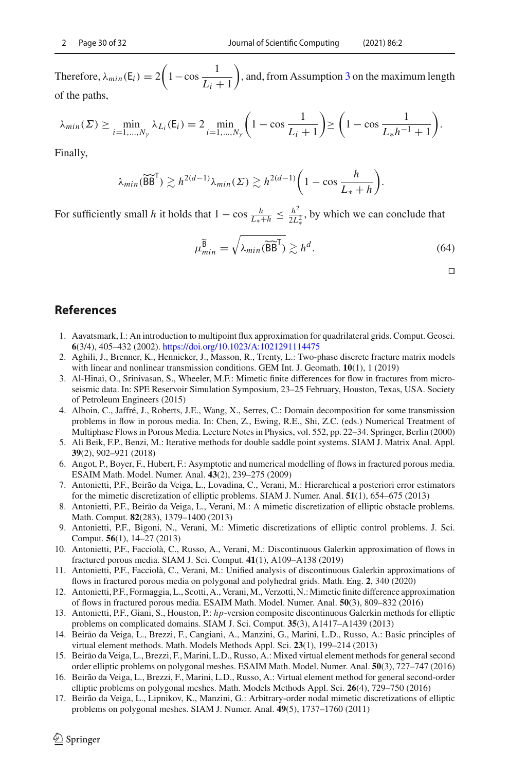Therefore,  $\lambda_{min}(\mathsf{E}_i) = 2\left(1 - \cos \frac{1}{L_i + 1}\right)$ ), and, from Assumption [3](#page-13-0) on the maximum length of the paths,

$$
\lambda_{min}(\Sigma) \ge \min_{i=1,\dots,N_{\gamma}} \lambda_{L_i}(\mathsf{E}_i) = 2 \min_{i=1,\dots,N_{\gamma}} \left(1 - \cos \frac{1}{L_i + 1}\right) \ge \left(1 - \cos \frac{1}{L_* h^{-1} + 1}\right).
$$

Finally,

$$
\lambda_{min}(\widetilde{\mathsf{BB}}^{\mathsf{T}}) \gtrsim h^{2(d-1)}\lambda_{min}(\Sigma) \gtrsim h^{2(d-1)}\bigg(1-\cos\frac{h}{L_*+h}\bigg).
$$

For sufficiently small *h* it holds that  $1 - \cos \frac{h}{L_* + h} \leq \frac{h^2}{2L_*^2}$ , by which we can conclude that ∗

$$
\mu_{min}^{\widetilde{B}} = \sqrt{\lambda_{min}(\widetilde{B}\widetilde{B}^{\mathsf{T}})} \gtrsim h^d.
$$
\n(64)

 $\Box$ 

### **References**

- <span id="page-29-16"></span>1. Aavatsmark, I.: An introduction to multipoint flux approximation for quadrilateral grids. Comput. Geosci. **6**(3/4), 405–432 (2002). <https://doi.org/10.1023/A:1021291114475>
- <span id="page-29-14"></span>2. Aghili, J., Brenner, K., Hennicker, J., Masson, R., Trenty, L.: Two-phase discrete fracture matrix models with linear and nonlinear transmission conditions. GEM Int. J. Geomath. **10**(1), 1 (2019)
- <span id="page-29-13"></span>3. Al-Hinai, O., Srinivasan, S., Wheeler, M.F.: Mimetic finite differences for flow in fractures from microseismic data. In: SPE Reservoir Simulation Symposium, 23–25 February, Houston, Texas, USA. Society of Petroleum Engineers (2015)
- <span id="page-29-0"></span>4. Alboin, C., Jaffré, J., Roberts, J.E., Wang, X., Serres, C.: Domain decomposition for some transmission problems in flow in porous media. In: Chen, Z., Ewing, R.E., Shi, Z.C. (eds.) Numerical Treatment of Multiphase Flows in Porous Media. Lecture Notes in Physics, vol. 552, pp. 22–34. Springer, Berlin (2000)
- <span id="page-29-15"></span>5. Ali Beik, F.P., Benzi, M.: Iterative methods for double saddle point systems. SIAM J. Matrix Anal. Appl. **39**(2), 902–921 (2018)
- <span id="page-29-1"></span>6. Angot, P., Boyer, F., Hubert, F.: Asymptotic and numerical modelling of flows in fractured porous media. ESAIM Math. Model. Numer. Anal. **43**(2), 239–275 (2009)
- <span id="page-29-8"></span>7. Antonietti, P.F., Beirão da Veiga, L., Lovadina, C., Verani, M.: Hierarchical a posteriori error estimators for the mimetic discretization of elliptic problems. SIAM J. Numer. Anal. **51**(1), 654–675 (2013)
- <span id="page-29-10"></span>8. Antonietti, P.F., Beirão da Veiga, L., Verani, M.: A mimetic discretization of elliptic obstacle problems. Math. Comput. **82**(283), 1379–1400 (2013)
- <span id="page-29-11"></span>9. Antonietti, P.F., Bigoni, N., Verani, M.: Mimetic discretizations of elliptic control problems. J. Sci. Comput. **56**(1), 14–27 (2013)
- <span id="page-29-3"></span>10. Antonietti, P.F., Facciolà, C., Russo, A., Verani, M.: Discontinuous Galerkin approximation of flows in fractured porous media. SIAM J. Sci. Comput. **41**(1), A109–A138 (2019)
- <span id="page-29-4"></span>11. Antonietti, P.F., Facciolà, C., Verani, M.: Unified analysis of discontinuous Galerkin approximations of flows in fractured porous media on polygonal and polyhedral grids. Math. Eng. **2**, 340 (2020)
- <span id="page-29-2"></span>12. Antonietti, P.F., Formaggia, L., Scotti, A., Verani, M., Verzotti, N.: Mimetic finite difference approximation of flows in fractured porous media. ESAIM Math. Model. Numer. Anal. **50**(3), 809–832 (2016)
- <span id="page-29-5"></span>13. Antonietti, P.F., Giani, S., Houston, P.: *hp*-version composite discontinuous Galerkin methods for elliptic problems on complicated domains. SIAM J. Sci. Comput. **35**(3), A1417–A1439 (2013)
- <span id="page-29-12"></span>14. Beirão da Veiga, L., Brezzi, F., Cangiani, A., Manzini, G., Marini, L.D., Russo, A.: Basic principles of virtual element methods. Math. Models Methods Appl. Sci. **23**(1), 199–214 (2013)
- <span id="page-29-6"></span>15. Beirão da Veiga, L., Brezzi, F., Marini, L.D., Russo, A.: Mixed virtual element methods for general second order elliptic problems on polygonal meshes. ESAIM Math. Model. Numer. Anal. **50**(3), 727–747 (2016)
- <span id="page-29-7"></span>16. Beirão da Veiga, L., Brezzi, F., Marini, L.D., Russo, A.: Virtual element method for general second-order elliptic problems on polygonal meshes. Math. Models Methods Appl. Sci. **26**(4), 729–750 (2016)
- <span id="page-29-9"></span>17. Beirão da Veiga, L., Lipnikov, K., Manzini, G.: Arbitrary-order nodal mimetic discretizations of elliptic problems on polygonal meshes. SIAM J. Numer. Anal. **49**(5), 1737–1760 (2011)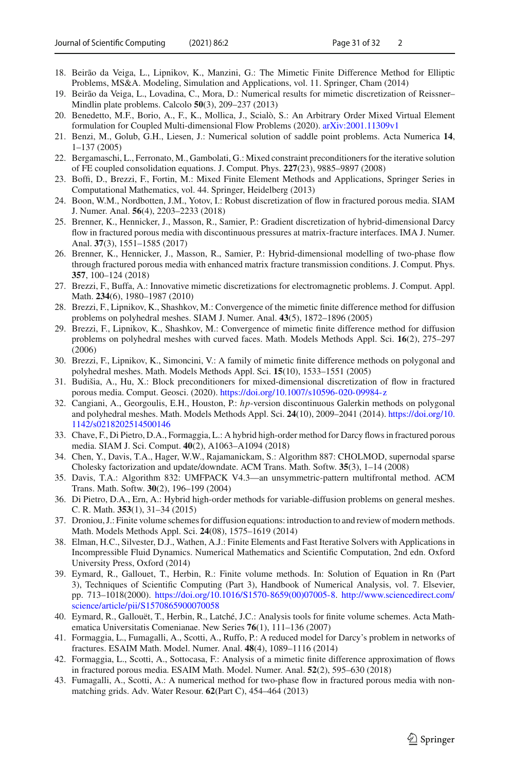- <span id="page-30-1"></span>18. Beirão da Veiga, L., Lipnikov, K., Manzini, G.: The Mimetic Finite Difference Method for Elliptic Problems, MS&A. Modeling, Simulation and Applications, vol. 11. Springer, Cham (2014)
- <span id="page-30-9"></span>19. Beirão da Veiga, L., Lovadina, C., Mora, D.: Numerical results for mimetic discretization of Reissner– Mindlin plate problems. Calcolo **50**(3), 209–237 (2013)
- <span id="page-30-17"></span>20. Benedetto, M.F., Borio, A., F., K., Mollica, J., Scialò, S.: An Arbitrary Order Mixed Virtual Element formulation for Coupled Multi-dimensional Flow Problems (2020). [arXiv:2001.11309v1](http://arxiv.org/abs/2001.11309v1)
- <span id="page-30-21"></span>21. Benzi, M., Golub, G.H., Liesen, J.: Numerical solution of saddle point problems. Acta Numerica **14**, 1–137 (2005)
- <span id="page-30-14"></span>22. Bergamaschi, L., Ferronato, M., Gambolati, G.: Mixed constraint preconditioners for the iterative solution of FE coupled consolidation equations. J. Comput. Phys. **227**(23), 9885–9897 (2008)
- <span id="page-30-16"></span>23. Boffi, D., Brezzi, F., Fortin, M.: Mixed Finite Element Methods and Applications, Springer Series in Computational Mathematics, vol. 44. Springer, Heidelberg (2013)
- <span id="page-30-11"></span>24. Boon, W.M., Nordbotten, J.M., Yotov, I.: Robust discretization of flow in fractured porous media. SIAM J. Numer. Anal. **56**(4), 2203–2233 (2018)
- 25. Brenner, K., Hennicker, J., Masson, R., Samier, P.: Gradient discretization of hybrid-dimensional Darcy flow in fractured porous media with discontinuous pressures at matrix-fracture interfaces. IMA J. Numer. Anal. **37**(3), 1551–1585 (2017)
- <span id="page-30-12"></span>26. Brenner, K., Hennicker, J., Masson, R., Samier, P.: Hybrid-dimensional modelling of two-phase flow through fractured porous media with enhanced matrix fracture transmission conditions. J. Comput. Phys. **357**, 100–124 (2018)
- <span id="page-30-8"></span>27. Brezzi, F., Buffa, A.: Innovative mimetic discretizations for electromagnetic problems. J. Comput. Appl. Math. **234**(6), 1980–1987 (2010)
- <span id="page-30-2"></span>28. Brezzi, F., Lipnikov, K., Shashkov, M.: Convergence of the mimetic finite difference method for diffusion problems on polyhedral meshes. SIAM J. Numer. Anal. **43**(5), 1872–1896 (2005)
- <span id="page-30-7"></span>29. Brezzi, F., Lipnikov, K., Shashkov, M.: Convergence of mimetic finite difference method for diffusion problems on polyhedral meshes with curved faces. Math. Models Methods Appl. Sci. **16**(2), 275–297 (2006)
- <span id="page-30-3"></span>30. Brezzi, F., Lipnikov, K., Simoncini, V.: A family of mimetic finite difference methods on polygonal and polyhedral meshes. Math. Models Methods Appl. Sci. **15**(10), 1533–1551 (2005)
- <span id="page-30-13"></span>31. Budišia, A., Hu, X.: Block preconditioners for mixed-dimensional discretization of flow in fractured porous media. Comput. Geosci. (2020). <https://doi.org/10.1007/s10596-020-09984-z>
- <span id="page-30-4"></span>32. Cangiani, A., Georgoulis, E.H., Houston, P.: *hp*-version discontinuous Galerkin methods on polygonal and polyhedral meshes. Math. Models Methods Appl. Sci. **24**(10), 2009–2041 (2014). [https://doi.org/10.](https://doi.org/10.1142/s0218202514500146) [1142/s0218202514500146](https://doi.org/10.1142/s0218202514500146)
- <span id="page-30-5"></span>33. Chave, F., Di Pietro, D.A., Formaggia, L.: A hybrid high-order method for Darcy flows in fractured porous media. SIAM J. Sci. Comput. **40**(2), A1063–A1094 (2018)
- <span id="page-30-23"></span>34. Chen, Y., Davis, T.A., Hager, W.W., Rajamanickam, S.: Algorithm 887: CHOLMOD, supernodal sparse Cholesky factorization and update/downdate. ACM Trans. Math. Softw. **35**(3), 1–14 (2008)
- <span id="page-30-24"></span>35. Davis, T.A.: Algorithm 832: UMFPACK V4.3—an unsymmetric-pattern multifrontal method. ACM Trans. Math. Softw. **30**(2), 196–199 (2004)
- <span id="page-30-6"></span>36. Di Pietro, D.A., Ern, A.: Hybrid high-order methods for variable-diffusion problems on general meshes. C. R. Math. **353**(1), 31–34 (2015)
- <span id="page-30-19"></span>37. Droniou, J.: Finite volume schemes for diffusion equations: introduction to and review of modern methods. Math. Models Methods Appl. Sci. **24**(08), 1575–1619 (2014)
- <span id="page-30-22"></span>38. Elman, H.C., Silvester, D.J., Wathen, A.J.: Finite Elements and Fast Iterative Solvers with Applications in Incompressible Fluid Dynamics. Numerical Mathematics and Scientific Computation, 2nd edn. Oxford University Press, Oxford (2014)
- <span id="page-30-18"></span>39. Eymard, R., Gallouet, T., Herbin, R.: Finite volume methods. In: Solution of Equation in Rn (Part 3), Techniques of Scientific Computing (Part 3), Handbook of Numerical Analysis, vol. 7. Elsevier, pp. 713–1018(2000). [https://doi.org/10.1016/S1570-8659\(00\)07005-8.](https://doi.org/10.1016/S1570-8659(00)07005-8) [http://www.sciencedirect.com/](http://www.sciencedirect.com/science/article/pii/S1570865900070058) [science/article/pii/S1570865900070058](http://www.sciencedirect.com/science/article/pii/S1570865900070058)
- <span id="page-30-20"></span>40. Eymard, R., Gallouët, T., Herbin, R., Latché, J.C.: Analysis tools for finite volume schemes. Acta Mathematica Universitatis Comenianae. New Series **76**(1), 111–136 (2007)
- <span id="page-30-15"></span>41. Formaggia, L., Fumagalli, A., Scotti, A., Ruffo, P.: A reduced model for Darcy's problem in networks of fractures. ESAIM Math. Model. Numer. Anal. **48**(4), 1089–1116 (2014)
- <span id="page-30-10"></span>42. Formaggia, L., Scotti, A., Sottocasa, F.: Analysis of a mimetic finite difference approximation of flows in fractured porous media. ESAIM Math. Model. Numer. Anal. **52**(2), 595–630 (2018)
- <span id="page-30-0"></span>43. Fumagalli, A., Scotti, A.: A numerical method for two-phase flow in fractured porous media with nonmatching grids. Adv. Water Resour. **62**(Part C), 454–464 (2013)